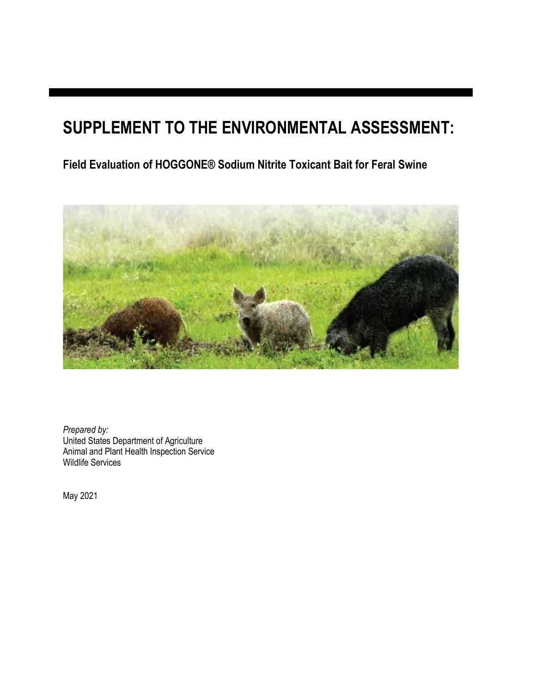# **SUPPLEMENT TO THE ENVIRONMENTAL ASSESSMENT:**

**Field Evaluation of HOGGONE® Sodium Nitrite Toxicant Bait for Feral Swine** 



*Prepared by:*  United States Department of Agriculture Animal and Plant Health Inspection Service Wildlife Services

May 2021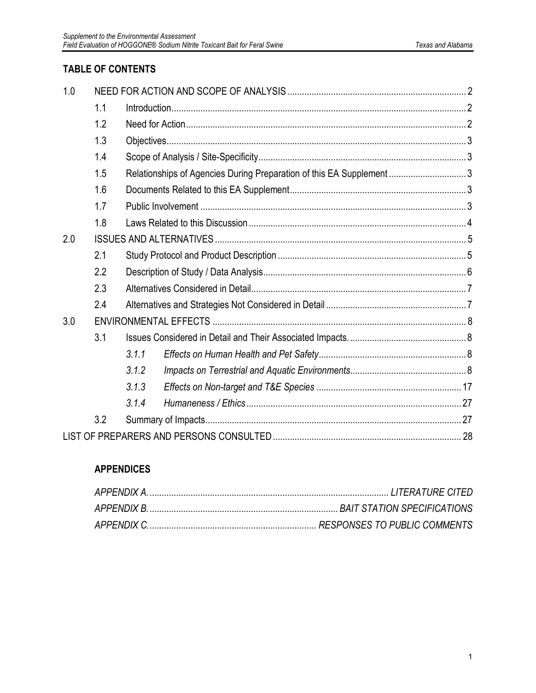# **TABLE OF CONTENTS**

| 1.0 |     |                                                                     |  |
|-----|-----|---------------------------------------------------------------------|--|
|     | 1.1 |                                                                     |  |
|     | 1.2 |                                                                     |  |
|     | 1.3 |                                                                     |  |
|     | 1.4 |                                                                     |  |
|     | 1.5 | Relationships of Agencies During Preparation of this EA Supplement3 |  |
|     | 1.6 |                                                                     |  |
|     | 1.7 |                                                                     |  |
|     | 1.8 |                                                                     |  |
| 2.0 |     |                                                                     |  |
|     | 2.1 |                                                                     |  |
|     | 2.2 |                                                                     |  |
|     | 2.3 |                                                                     |  |
|     | 2.4 |                                                                     |  |
| 3.0 |     |                                                                     |  |
|     | 3.1 |                                                                     |  |
|     |     | 3.1.1                                                               |  |
|     |     | 3.1.2                                                               |  |
|     |     | 3.1.3                                                               |  |
|     |     | 3.1.4                                                               |  |
|     | 3.2 |                                                                     |  |
|     |     |                                                                     |  |

# **APPENDICES**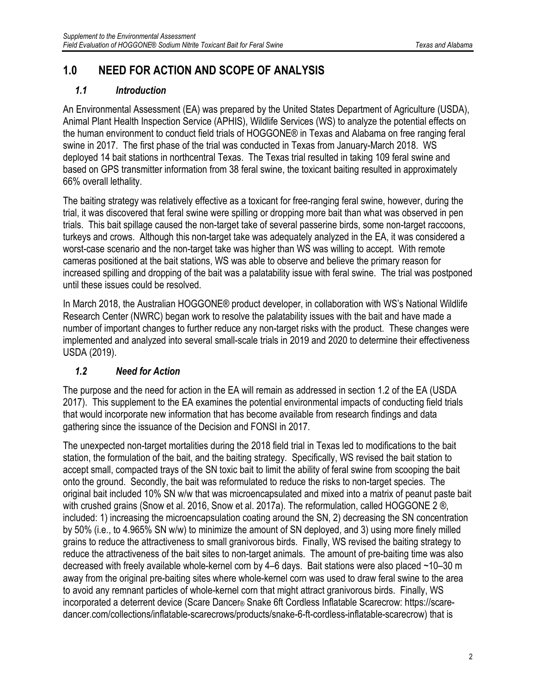# <span id="page-2-0"></span>**1.0 NEED FOR ACTION AND SCOPE OF ANALYSIS**

# <span id="page-2-1"></span>*1.1 Introduction*

An Environmental Assessment (EA) was prepared by the United States Department of Agriculture (USDA), Animal Plant Health Inspection Service (APHIS), Wildlife Services (WS) to analyze the potential effects on the human environment to conduct field trials of HOGGONE® in Texas and Alabama on free ranging feral swine in 2017. The first phase of the trial was conducted in Texas from January-March 2018. WS deployed 14 bait stations in northcentral Texas. The Texas trial resulted in taking 109 feral swine and based on GPS transmitter information from 38 feral swine, the toxicant baiting resulted in approximately 66% overall lethality.

The baiting strategy was relatively effective as a toxicant for free-ranging feral swine, however, during the trial, it was discovered that feral swine were spilling or dropping more bait than what was observed in pen trials. This bait spillage caused the non-target take of several passerine birds, some non-target raccoons, turkeys and crows. Although this non-target take was adequately analyzed in the EA, it was considered a worst-case scenario and the non-target take was higher than WS was willing to accept. With remote cameras positioned at the bait stations, WS was able to observe and believe the primary reason for increased spilling and dropping of the bait was a palatability issue with feral swine. The trial was postponed until these issues could be resolved.

In March 2018, the Australian HOGGONE® product developer, in collaboration with WS's National Wildlife Research Center (NWRC) began work to resolve the palatability issues with the bait and have made a number of important changes to further reduce any non-target risks with the product. These changes were implemented and analyzed into several small-scale trials in 2019 and 2020 to determine their effectiveness USDA (2019).

# <span id="page-2-2"></span>*1.2 Need for Action*

The purpose and the need for action in the EA will remain as addressed in section 1.2 of the EA (USDA 2017). This supplement to the EA examines the potential environmental impacts of conducting field trials that would incorporate new information that has become available from research findings and data gathering since the issuance of the Decision and FONSI in 2017.

The unexpected non-target mortalities during the 2018 field trial in Texas led to modifications to the bait station, the formulation of the bait, and the baiting strategy. Specifically, WS revised the bait station to accept small, compacted trays of the SN toxic bait to limit the ability of feral swine from scooping the bait onto the ground. Secondly, the bait was reformulated to reduce the risks to non-target species. The original bait included 10% SN w/w that was microencapsulated and mixed into a matrix of peanut paste bait with crushed grains (Snow et al. 2016, Snow et al. 2017a). The reformulation, called HOGGONE 2 ®, included: 1) increasing the microencapsulation coating around the SN, 2) decreasing the SN concentration by 50% (i.e., to 4.965% SN w/w) to minimize the amount of SN deployed, and 3) using more finely milled grains to reduce the attractiveness to small granivorous birds. Finally, WS revised the baiting strategy to reduce the attractiveness of the bait sites to non-target animals. The amount of pre-baiting time was also decreased with freely available whole-kernel corn by 4–6 days. Bait stations were also placed ~10–30 m away from the original pre-baiting sites where whole-kernel corn was used to draw feral swine to the area to avoid any remnant particles of whole-kernel corn that might attract granivorous birds. Finally, WS incorporated a deterrent device (Scare Dancer® Snake 6ft Cordless Inflatable Scarecrow: https://scaredancer.com/collections/inflatable-scarecrows/products/snake-6-ft-cordless-inflatable-scarecrow) that is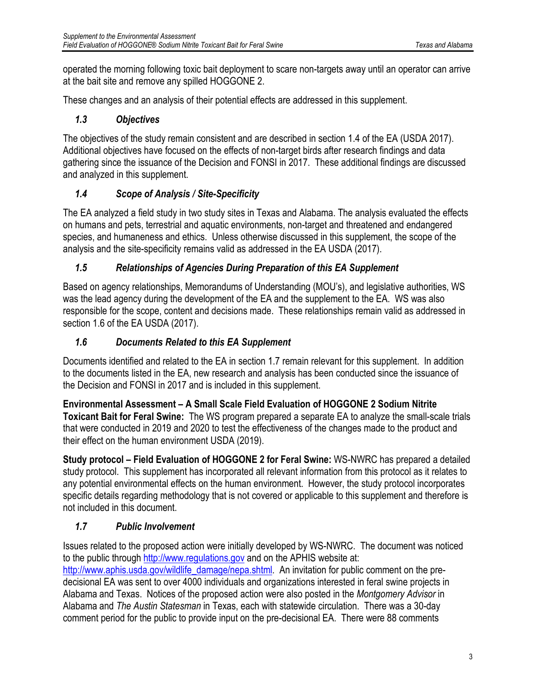operated the morning following toxic bait deployment to scare non-targets away until an operator can arrive at the bait site and remove any spilled HOGGONE 2.

These changes and an analysis of their potential effects are addressed in this supplement.

# <span id="page-3-0"></span>*1.3 Objectives*

The objectives of the study remain consistent and are described in section 1.4 of the EA (USDA 2017). Additional objectives have focused on the effects of non-target birds after research findings and data gathering since the issuance of the Decision and FONSI in 2017. These additional findings are discussed and analyzed in this supplement.

# <span id="page-3-1"></span>*1.4 Scope of Analysis / Site-Specificity*

The EA analyzed a field study in two study sites in Texas and Alabama. The analysis evaluated the effects on humans and pets, terrestrial and aquatic environments, non-target and threatened and endangered species, and humaneness and ethics. Unless otherwise discussed in this supplement, the scope of the analysis and the site-specificity remains valid as addressed in the EA USDA (2017).

# <span id="page-3-2"></span>*1.5 Relationships of Agencies During Preparation of this EA Supplement*

Based on agency relationships, Memorandums of Understanding (MOU's), and legislative authorities, WS was the lead agency during the development of the EA and the supplement to the EA. WS was also responsible for the scope, content and decisions made. These relationships remain valid as addressed in section 1.6 of the EA USDA (2017).

### <span id="page-3-3"></span>*1.6 Documents Related to this EA Supplement*

Documents identified and related to the EA in section 1.7 remain relevant for this supplement. In addition to the documents listed in the EA, new research and analysis has been conducted since the issuance of the Decision and FONSI in 2017 and is included in this supplement.

**Environmental Assessment – A Small Scale Field Evaluation of HOGGONE 2 Sodium Nitrite Toxicant Bait for Feral Swine:** The WS program prepared a separate EA to analyze the small-scale trials that were conducted in 2019 and 2020 to test the effectiveness of the changes made to the product and their effect on the human environment USDA (2019).

**Study protocol – Field Evaluation of HOGGONE 2 for Feral Swine:** WS-NWRC has prepared a detailed study protocol. This supplement has incorporated all relevant information from this protocol as it relates to any potential environmental effects on the human environment. However, the study protocol incorporates specific details regarding methodology that is not covered or applicable to this supplement and therefore is not included in this document.

# <span id="page-3-4"></span>*1.7 Public Involvement*

Issues related to the proposed action were initially developed by WS-NWRC. The document was noticed to the public through [http://www.regulations.gov](http://www.regulations.gov/) and on the APHIS website at:

[http://www.aphis.usda.gov/wildlife\\_damage/nepa.shtml.](http://www.aphis.usda.gov/wildlife_damage/nepa.shtml) An invitation for public comment on the predecisional EA was sent to over 4000 individuals and organizations interested in feral swine projects in Alabama and Texas. Notices of the proposed action were also posted in the *Montgomery Advisor* in Alabama and *The Austin Statesman* in Texas, each with statewide circulation. There was a 30-day comment period for the public to provide input on the pre-decisional EA. There were 88 comments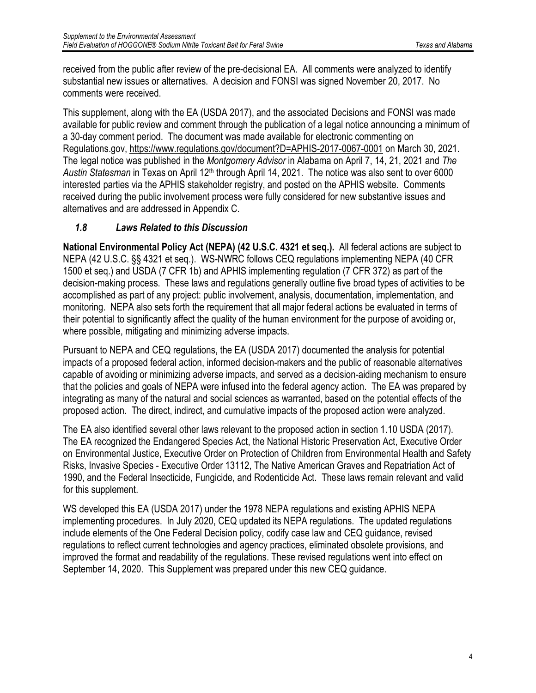received from the public after review of the pre-decisional EA. All comments were analyzed to identify substantial new issues or alternatives. A decision and FONSI was signed November 20, 2017. No comments were received.

This supplement, along with the EA (USDA 2017), and the associated Decisions and FONSI was made available for public review and comment through the publication of a legal notice announcing a minimum of a 30-day comment period. The document was made available for electronic commenting on Regulations.gov, https://www.regulations.gov/document?D=APHIS-2017-0067-0001 on March 30, 2021. The legal notice was published in the *Montgomery Advisor* in Alabama on April 7, 14, 21, 2021 and *The*  Austin Statesman in Texas on April 12<sup>th</sup> through April 14, 2021. The notice was also sent to over 6000 interested parties via the APHIS stakeholder registry, and posted on the APHIS website. Comments received during the public involvement process were fully considered for new substantive issues and alternatives and are addressed in Appendix C.

#### <span id="page-4-0"></span>*1.8 Laws Related to this Discussion*

**National Environmental Policy Act (NEPA) (42 U.S.C. 4321 et seq.).** All federal actions are subject to NEPA (42 U.S.C. §§ 4321 et seq.). WS-NWRC follows CEQ regulations implementing NEPA (40 CFR 1500 et seq.) and USDA (7 CFR 1b) and APHIS implementing regulation (7 CFR 372) as part of the decision-making process. These laws and regulations generally outline five broad types of activities to be accomplished as part of any project: public involvement, analysis, documentation, implementation, and monitoring. NEPA also sets forth the requirement that all major federal actions be evaluated in terms of their potential to significantly affect the quality of the human environment for the purpose of avoiding or, where possible, mitigating and minimizing adverse impacts.

Pursuant to NEPA and CEQ regulations, the EA (USDA 2017) documented the analysis for potential impacts of a proposed federal action, informed decision-makers and the public of reasonable alternatives capable of avoiding or minimizing adverse impacts, and served as a decision-aiding mechanism to ensure that the policies and goals of NEPA were infused into the federal agency action. The EA was prepared by integrating as many of the natural and social sciences as warranted, based on the potential effects of the proposed action. The direct, indirect, and cumulative impacts of the proposed action were analyzed.

The EA also identified several other laws relevant to the proposed action in section 1.10 USDA (2017). The EA recognized the Endangered Species Act, the National Historic Preservation Act, Executive Order on Environmental Justice, Executive Order on Protection of Children from Environmental Health and Safety Risks, Invasive Species - Executive Order 13112, The Native American Graves and Repatriation Act of 1990, and the Federal Insecticide, Fungicide, and Rodenticide Act. These laws remain relevant and valid for this supplement.

WS developed this EA (USDA 2017) under the 1978 NEPA regulations and existing APHIS NEPA implementing procedures. In July 2020, CEQ updated its NEPA regulations. The updated regulations include elements of the One Federal Decision policy, codify case law and CEQ guidance, revised regulations to reflect current technologies and agency practices, eliminated obsolete provisions, and improved the format and readability of the regulations. These revised regulations went into effect on September 14, 2020. This Supplement was prepared under this new CEQ guidance.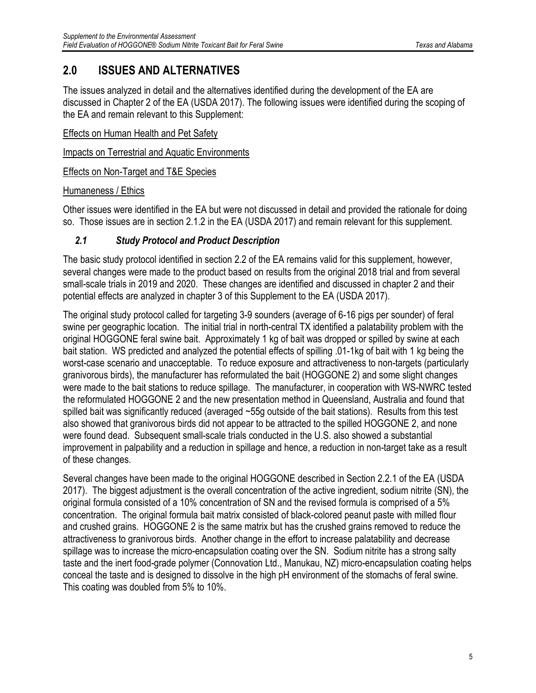# <span id="page-5-0"></span>**2.0 ISSUES AND ALTERNATIVES**

The issues analyzed in detail and the alternatives identified during the development of the EA are discussed in Chapter 2 of the EA (USDA 2017). The following issues were identified during the scoping of the EA and remain relevant to this Supplement:

#### Effects on Human Health and Pet Safety

Impacts on Terrestrial and Aquatic Environments

Effects on Non-Target and T&E Species

#### Humaneness / Ethics

Other issues were identified in the EA but were not discussed in detail and provided the rationale for doing so. Those issues are in section 2.1.2 in the EA (USDA 2017) and remain relevant for this supplement.

### <span id="page-5-1"></span>*2.1 Study Protocol and Product Description*

The basic study protocol identified in section 2.2 of the EA remains valid for this supplement, however, several changes were made to the product based on results from the original 2018 trial and from several small-scale trials in 2019 and 2020. These changes are identified and discussed in chapter 2 and their potential effects are analyzed in chapter 3 of this Supplement to the EA (USDA 2017).

The original study protocol called for targeting 3-9 sounders (average of 6-16 pigs per sounder) of feral swine per geographic location. The initial trial in north-central TX identified a palatability problem with the original HOGGONE feral swine bait. Approximately 1 kg of bait was dropped or spilled by swine at each bait station. WS predicted and analyzed the potential effects of spilling .01-1kg of bait with 1 kg being the worst-case scenario and unacceptable. To reduce exposure and attractiveness to non-targets (particularly granivorous birds), the manufacturer has reformulated the bait (HOGGONE 2) and some slight changes were made to the bait stations to reduce spillage. The manufacturer, in cooperation with WS-NWRC tested the reformulated HOGGONE 2 and the new presentation method in Queensland, Australia and found that spilled bait was significantly reduced (averaged ~55g outside of the bait stations). Results from this test also showed that granivorous birds did not appear to be attracted to the spilled HOGGONE 2, and none were found dead. Subsequent small-scale trials conducted in the U.S. also showed a substantial improvement in palpability and a reduction in spillage and hence, a reduction in non-target take as a result of these changes.

Several changes have been made to the original HOGGONE described in Section 2.2.1 of the EA (USDA 2017). The biggest adjustment is the overall concentration of the active ingredient, sodium nitrite (SN), the original formula consisted of a 10% concentration of SN and the revised formula is comprised of a 5% concentration. The original formula bait matrix consisted of black-colored peanut paste with milled flour and crushed grains. HOGGONE 2 is the same matrix but has the crushed grains removed to reduce the attractiveness to granivorous birds. Another change in the effort to increase palatability and decrease spillage was to increase the micro-encapsulation coating over the SN. Sodium nitrite has a strong salty taste and the inert food-grade polymer (Connovation Ltd., Manukau, NZ) micro-encapsulation coating helps conceal the taste and is designed to dissolve in the high pH environment of the stomachs of feral swine. This coating was doubled from 5% to 10%.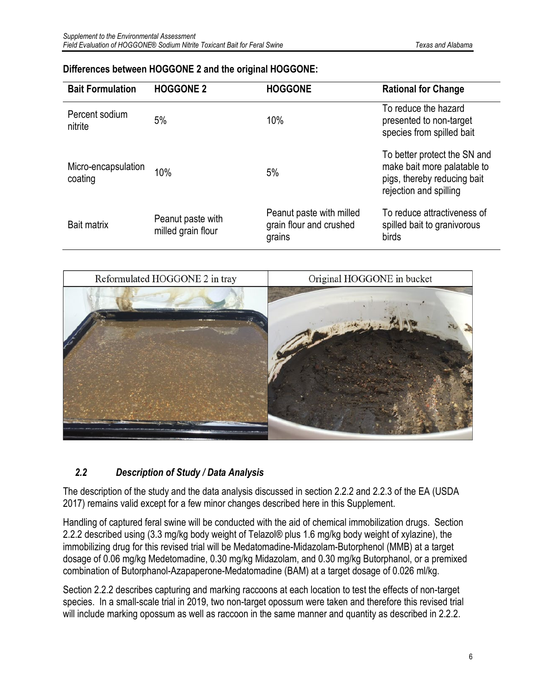#### **Differences between HOGGONE 2 and the original HOGGONE:**

| <b>Bait Formulation</b>        | <b>HOGGONE 2</b>                        | <b>HOGGONE</b>                                                | <b>Rational for Change</b>                                                                                           |
|--------------------------------|-----------------------------------------|---------------------------------------------------------------|----------------------------------------------------------------------------------------------------------------------|
| Percent sodium<br>nitrite      | 5%                                      | 10%                                                           | To reduce the hazard<br>presented to non-target<br>species from spilled bait                                         |
| Micro-encapsulation<br>coating | 10%                                     | 5%                                                            | To better protect the SN and<br>make bait more palatable to<br>pigs, thereby reducing bait<br>rejection and spilling |
| <b>Bait matrix</b>             | Peanut paste with<br>milled grain flour | Peanut paste with milled<br>grain flour and crushed<br>grains | To reduce attractiveness of<br>spilled bait to granivorous<br>birds                                                  |



#### <span id="page-6-0"></span>*2.2 Description of Study / Data Analysis*

The description of the study and the data analysis discussed in section 2.2.2 and 2.2.3 of the EA (USDA 2017) remains valid except for a few minor changes described here in this Supplement.

Handling of captured feral swine will be conducted with the aid of chemical immobilization drugs. Section 2.2.2 described using (3.3 mg/kg body weight of Telazol® plus 1.6 mg/kg body weight of xylazine), the immobilizing drug for this revised trial will be Medatomadine-Midazolam-Butorphenol (MMB) at a target dosage of 0.06 mg/kg Medetomadine, 0.30 mg/kg Midazolam, and 0.30 mg/kg Butorphanol, or a premixed combination of Butorphanol-Azapaperone-Medatomadine (BAM) at a target dosage of 0.026 ml/kg.

Section 2.2.2 describes capturing and marking raccoons at each location to test the effects of non-target species. In a small-scale trial in 2019, two non-target opossum were taken and therefore this revised trial will include marking opossum as well as raccoon in the same manner and quantity as described in 2.2.2.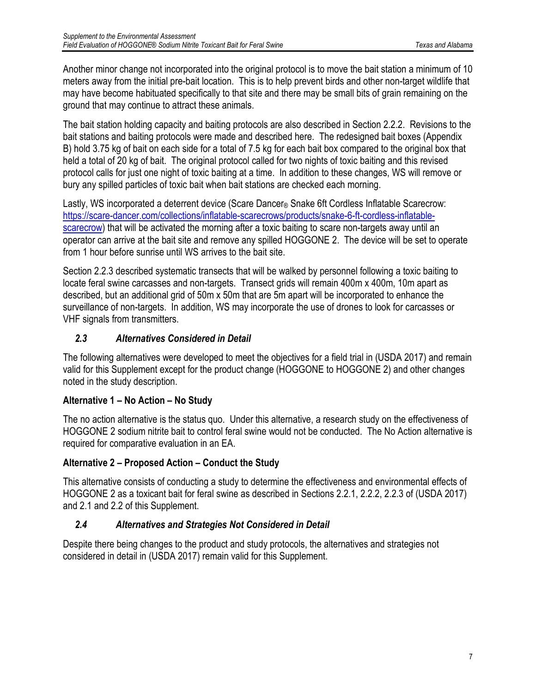Another minor change not incorporated into the original protocol is to move the bait station a minimum of 10 meters away from the initial pre-bait location. This is to help prevent birds and other non-target wildlife that may have become habituated specifically to that site and there may be small bits of grain remaining on the ground that may continue to attract these animals.

The bait station holding capacity and baiting protocols are also described in Section 2.2.2. Revisions to the bait stations and baiting protocols were made and described here. The redesigned bait boxes (Appendix B) hold 3.75 kg of bait on each side for a total of 7.5 kg for each bait box compared to the original box that held a total of 20 kg of bait. The original protocol called for two nights of toxic baiting and this revised protocol calls for just one night of toxic baiting at a time. In addition to these changes, WS will remove or bury any spilled particles of toxic bait when bait stations are checked each morning.

Lastly, WS incorporated a deterrent device (Scare Dancer® Snake 6ft Cordless Inflatable Scarecrow: [https://scare-dancer.com/collections/inflatable-scarecrows/products/snake-6-ft-cordless-inflatable](https://scare-dancer.com/collections/inflatable-scarecrows/products/snake-6-ft-cordless-inflatable-scarecrow)[scarecrow\)](https://scare-dancer.com/collections/inflatable-scarecrows/products/snake-6-ft-cordless-inflatable-scarecrow) that will be activated the morning after a toxic baiting to scare non-targets away until an operator can arrive at the bait site and remove any spilled HOGGONE 2. The device will be set to operate from 1 hour before sunrise until WS arrives to the bait site.

Section 2.2.3 described systematic transects that will be walked by personnel following a toxic baiting to locate feral swine carcasses and non-targets. Transect grids will remain 400m x 400m, 10m apart as described, but an additional grid of 50m x 50m that are 5m apart will be incorporated to enhance the surveillance of non-targets. In addition, WS may incorporate the use of drones to look for carcasses or VHF signals from transmitters.

#### <span id="page-7-0"></span>*2.3 Alternatives Considered in Detail*

The following alternatives were developed to meet the objectives for a field trial in (USDA 2017) and remain valid for this Supplement except for the product change (HOGGONE to HOGGONE 2) and other changes noted in the study description.

#### **Alternative 1 – No Action – No Study**

The no action alternative is the status quo. Under this alternative, a research study on the effectiveness of HOGGONE 2 sodium nitrite bait to control feral swine would not be conducted. The No Action alternative is required for comparative evaluation in an EA.

#### **Alternative 2 – Proposed Action – Conduct the Study**

This alternative consists of conducting a study to determine the effectiveness and environmental effects of HOGGONE 2 as a toxicant bait for feral swine as described in Sections 2.2.1, 2.2.2, 2.2.3 of (USDA 2017) and 2.1 and 2.2 of this Supplement.

# <span id="page-7-1"></span>*2.4 Alternatives and Strategies Not Considered in Detail*

Despite there being changes to the product and study protocols, the alternatives and strategies not considered in detail in (USDA 2017) remain valid for this Supplement.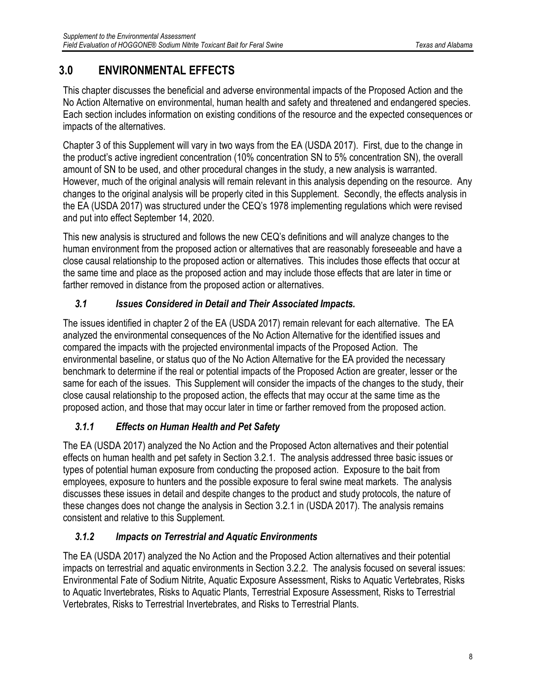# <span id="page-8-0"></span>**3.0 ENVIRONMENTAL EFFECTS**

This chapter discusses the beneficial and adverse environmental impacts of the Proposed Action and the No Action Alternative on environmental, human health and safety and threatened and endangered species. Each section includes information on existing conditions of the resource and the expected consequences or impacts of the alternatives.

Chapter 3 of this Supplement will vary in two ways from the EA (USDA 2017). First, due to the change in the product's active ingredient concentration (10% concentration SN to 5% concentration SN), the overall amount of SN to be used, and other procedural changes in the study, a new analysis is warranted. However, much of the original analysis will remain relevant in this analysis depending on the resource. Any changes to the original analysis will be properly cited in this Supplement. Secondly, the effects analysis in the EA (USDA 2017) was structured under the CEQ's 1978 implementing regulations which were revised and put into effect September 14, 2020.

This new analysis is structured and follows the new CEQ's definitions and will analyze changes to the human environment from the proposed action or alternatives that are reasonably foreseeable and have a close causal relationship to the proposed action or alternatives. This includes those effects that occur at the same time and place as the proposed action and may include those effects that are later in time or farther removed in distance from the proposed action or alternatives.

# <span id="page-8-1"></span>*3.1 Issues Considered in Detail and Their Associated Impacts.*

The issues identified in chapter 2 of the EA (USDA 2017) remain relevant for each alternative. The EA analyzed the environmental consequences of the No Action Alternative for the identified issues and compared the impacts with the projected environmental impacts of the Proposed Action. The environmental baseline, or status quo of the No Action Alternative for the EA provided the necessary benchmark to determine if the real or potential impacts of the Proposed Action are greater, lesser or the same for each of the issues. This Supplement will consider the impacts of the changes to the study, their close causal relationship to the proposed action, the effects that may occur at the same time as the proposed action, and those that may occur later in time or farther removed from the proposed action.

# <span id="page-8-2"></span>*3.1.1 Effects on Human Health and Pet Safety*

The EA (USDA 2017) analyzed the No Action and the Proposed Acton alternatives and their potential effects on human health and pet safety in Section 3.2.1. The analysis addressed three basic issues or types of potential human exposure from conducting the proposed action. Exposure to the bait from employees, exposure to hunters and the possible exposure to feral swine meat markets. The analysis discusses these issues in detail and despite changes to the product and study protocols, the nature of these changes does not change the analysis in Section 3.2.1 in (USDA 2017). The analysis remains consistent and relative to this Supplement.

# <span id="page-8-3"></span>*3.1.2 Impacts on Terrestrial and Aquatic Environments*

The EA (USDA 2017) analyzed the No Action and the Proposed Action alternatives and their potential impacts on terrestrial and aquatic environments in Section 3.2.2. The analysis focused on several issues: Environmental Fate of Sodium Nitrite, Aquatic Exposure Assessment, Risks to Aquatic Vertebrates, Risks to Aquatic Invertebrates, Risks to Aquatic Plants, Terrestrial Exposure Assessment, Risks to Terrestrial Vertebrates, Risks to Terrestrial Invertebrates, and Risks to Terrestrial Plants.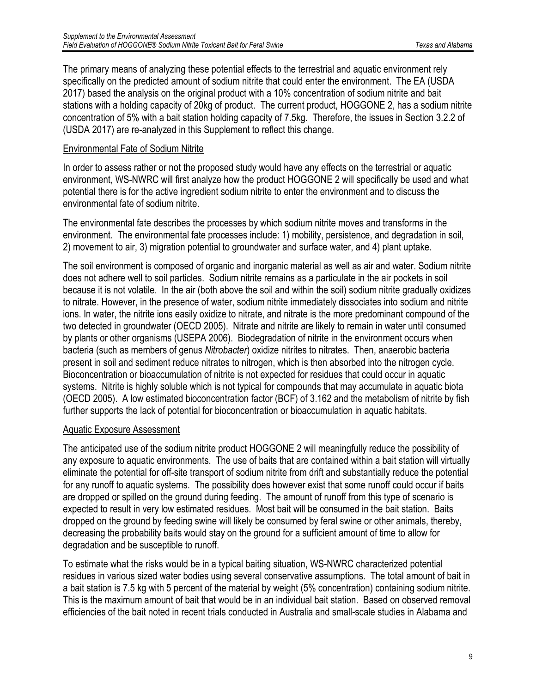The primary means of analyzing these potential effects to the terrestrial and aquatic environment rely specifically on the predicted amount of sodium nitrite that could enter the environment. The EA (USDA 2017) based the analysis on the original product with a 10% concentration of sodium nitrite and bait stations with a holding capacity of 20kg of product. The current product, HOGGONE 2, has a sodium nitrite concentration of 5% with a bait station holding capacity of 7.5kg. Therefore, the issues in Section 3.2.2 of (USDA 2017) are re-analyzed in this Supplement to reflect this change.

#### Environmental Fate of Sodium Nitrite

In order to assess rather or not the proposed study would have any effects on the terrestrial or aquatic environment, WS-NWRC will first analyze how the product HOGGONE 2 will specifically be used and what potential there is for the active ingredient sodium nitrite to enter the environment and to discuss the environmental fate of sodium nitrite.

The environmental fate describes the processes by which sodium nitrite moves and transforms in the environment. The environmental fate processes include: 1) mobility, persistence, and degradation in soil, 2) movement to air, 3) migration potential to groundwater and surface water, and 4) plant uptake.

The soil environment is composed of organic and inorganic material as well as air and water. Sodium nitrite does not adhere well to soil particles. Sodium nitrite remains as a particulate in the air pockets in soil because it is not volatile. In the air (both above the soil and within the soil) sodium nitrite gradually oxidizes to nitrate. However, in the presence of water, sodium nitrite immediately dissociates into sodium and nitrite ions. In water, the nitrite ions easily oxidize to nitrate, and nitrate is the more predominant compound of the two detected in groundwater (OECD 2005). Nitrate and nitrite are likely to remain in water until consumed by plants or other organisms (USEPA 2006). Biodegradation of nitrite in the environment occurs when bacteria (such as members of genus *Nitrobacter*) oxidize nitrites to nitrates. Then, anaerobic bacteria present in soil and sediment reduce nitrates to nitrogen, which is then absorbed into the nitrogen cycle. Bioconcentration or bioaccumulation of nitrite is not expected for residues that could occur in aquatic systems. Nitrite is highly soluble which is not typical for compounds that may accumulate in aquatic biota (OECD 2005). A low estimated bioconcentration factor (BCF) of 3.162 and the metabolism of nitrite by fish further supports the lack of potential for bioconcentration or bioaccumulation in aquatic habitats.

#### Aquatic Exposure Assessment

The anticipated use of the sodium nitrite product HOGGONE 2 will meaningfully reduce the possibility of any exposure to aquatic environments. The use of baits that are contained within a bait station will virtually eliminate the potential for off-site transport of sodium nitrite from drift and substantially reduce the potential for any runoff to aquatic systems. The possibility does however exist that some runoff could occur if baits are dropped or spilled on the ground during feeding. The amount of runoff from this type of scenario is expected to result in very low estimated residues. Most bait will be consumed in the bait station. Baits dropped on the ground by feeding swine will likely be consumed by feral swine or other animals, thereby, decreasing the probability baits would stay on the ground for a sufficient amount of time to allow for degradation and be susceptible to runoff.

To estimate what the risks would be in a typical baiting situation, WS-NWRC characterized potential residues in various sized water bodies using several conservative assumptions. The total amount of bait in a bait station is 7.5 kg with 5 percent of the material by weight (5% concentration) containing sodium nitrite. This is the maximum amount of bait that would be in an individual bait station. Based on observed removal efficiencies of the bait noted in recent trials conducted in Australia and small-scale studies in Alabama and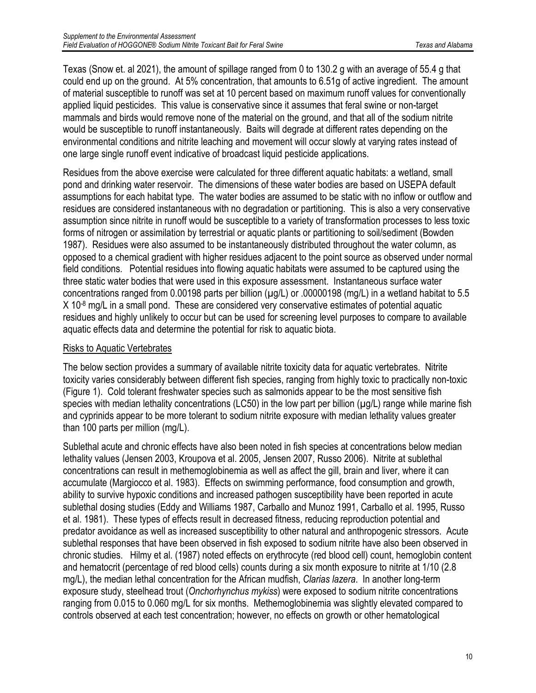Texas (Snow et. al 2021), the amount of spillage ranged from 0 to 130.2 g with an average of 55.4 g that could end up on the ground. At 5% concentration, that amounts to 6.51g of active ingredient. The amount of material susceptible to runoff was set at 10 percent based on maximum runoff values for conventionally applied liquid pesticides. This value is conservative since it assumes that feral swine or non-target mammals and birds would remove none of the material on the ground, and that all of the sodium nitrite would be susceptible to runoff instantaneously. Baits will degrade at different rates depending on the environmental conditions and nitrite leaching and movement will occur slowly at varying rates instead of one large single runoff event indicative of broadcast liquid pesticide applications.

Residues from the above exercise were calculated for three different aquatic habitats: a wetland, small pond and drinking water reservoir. The dimensions of these water bodies are based on USEPA default assumptions for each habitat type. The water bodies are assumed to be static with no inflow or outflow and residues are considered instantaneous with no degradation or partitioning. This is also a very conservative assumption since nitrite in runoff would be susceptible to a variety of transformation processes to less toxic forms of nitrogen or assimilation by terrestrial or aquatic plants or partitioning to soil/sediment (Bowden 1987). Residues were also assumed to be instantaneously distributed throughout the water column, as opposed to a chemical gradient with higher residues adjacent to the point source as observed under normal field conditions. Potential residues into flowing aquatic habitats were assumed to be captured using the three static water bodies that were used in this exposure assessment. Instantaneous surface water concentrations ranged from 0.00198 parts per billion (µg/L) or .00000198 (mg/L) in a wetland habitat to 5.5  $X$  10 $\textdegree$  mg/L in a small pond. These are considered very conservative estimates of potential aquatic residues and highly unlikely to occur but can be used for screening level purposes to compare to available aquatic effects data and determine the potential for risk to aquatic biota.

#### Risks to Aquatic Vertebrates

The below section provides a summary of available nitrite toxicity data for aquatic vertebrates. Nitrite toxicity varies considerably between different fish species, ranging from highly toxic to practically non-toxic (Figure 1). Cold tolerant freshwater species such as salmonids appear to be the most sensitive fish species with median lethality concentrations (LC50) in the low part per billion ( $\mu$ g/L) range while marine fish and cyprinids appear to be more tolerant to sodium nitrite exposure with median lethality values greater than 100 parts per million (mg/L).

Sublethal acute and chronic effects have also been noted in fish species at concentrations below median lethality values (Jensen 2003, Kroupova et al. 2005, Jensen 2007, Russo 2006). Nitrite at sublethal concentrations can result in methemoglobinemia as well as affect the gill, brain and liver, where it can accumulate (Margiocco et al. 1983). Effects on swimming performance, food consumption and growth, ability to survive hypoxic conditions and increased pathogen susceptibility have been reported in acute sublethal dosing studies (Eddy and Williams 1987, Carballo and Munoz 1991, Carballo et al. 1995, Russo et al. 1981). These types of effects result in decreased fitness, reducing reproduction potential and predator avoidance as well as increased susceptibility to other natural and anthropogenic stressors. Acute sublethal responses that have been observed in fish exposed to sodium nitrite have also been observed in chronic studies. Hilmy et al. (1987) noted effects on erythrocyte (red blood cell) count, hemoglobin content and hematocrit (percentage of red blood cells) counts during a six month exposure to nitrite at 1/10 (2.8 mg/L), the median lethal concentration for the African mudfish, *Clarias lazera*. In another long-term exposure study, steelhead trout (*Onchorhynchus mykiss*) were exposed to sodium nitrite concentrations ranging from 0.015 to 0.060 mg/L for six months. Methemoglobinemia was slightly elevated compared to controls observed at each test concentration; however, no effects on growth or other hematological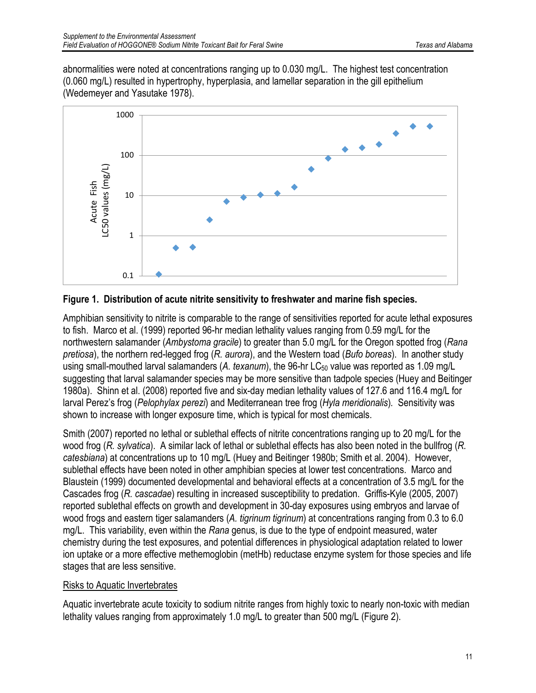abnormalities were noted at concentrations ranging up to 0.030 mg/L. The highest test concentration (0.060 mg/L) resulted in hypertrophy, hyperplasia, and lamellar separation in the gill epithelium (Wedemeyer and Yasutake 1978).



#### **Figure 1. Distribution of acute nitrite sensitivity to freshwater and marine fish species.**

Amphibian sensitivity to nitrite is comparable to the range of sensitivities reported for acute lethal exposures to fish. Marco et al. (1999) reported 96-hr median lethality values ranging from 0.59 mg/L for the northwestern salamander (*Ambystoma gracile*) to greater than 5.0 mg/L for the Oregon spotted frog (*Rana pretiosa*), the northern red-legged frog (*R. aurora*), and the Western toad (*Bufo boreas*). In another study using small-mouthed larval salamanders (A, texanum), the 96-hr LC<sub>50</sub> value was reported as 1.09 mg/L suggesting that larval salamander species may be more sensitive than tadpole species (Huey and Beitinger 1980a). Shinn et al. (2008) reported five and six-day median lethality values of 127.6 and 116.4 mg/L for larval Perez's frog (*Pelophylax perezi*) and Mediterranean tree frog (*Hyla meridionalis*)*.* Sensitivity was shown to increase with longer exposure time, which is typical for most chemicals.

Smith (2007) reported no lethal or sublethal effects of nitrite concentrations ranging up to 20 mg/L for the wood frog (*R. sylvatica*). A similar lack of lethal or sublethal effects has also been noted in the bullfrog (*R. catesbiana*) at concentrations up to 10 mg/L (Huey and Beitinger 1980b; Smith et al. 2004). However, sublethal effects have been noted in other amphibian species at lower test concentrations. Marco and Blaustein (1999) documented developmental and behavioral effects at a concentration of 3.5 mg/L for the Cascades frog (*R. cascadae*) resulting in increased susceptibility to predation. Griffis-Kyle (2005, 2007) reported sublethal effects on growth and development in 30-day exposures using embryos and larvae of wood frogs and eastern tiger salamanders (*A. tigrinum tigrinum*) at concentrations ranging from 0.3 to 6.0 mg/L. This variability, even within the *Rana* genus, is due to the type of endpoint measured, water chemistry during the test exposures, and potential differences in physiological adaptation related to lower ion uptake or a more effective methemoglobin (metHb) reductase enzyme system for those species and life stages that are less sensitive.

#### Risks to Aquatic Invertebrates

Aquatic invertebrate acute toxicity to sodium nitrite ranges from highly toxic to nearly non-toxic with median lethality values ranging from approximately 1.0 mg/L to greater than 500 mg/L (Figure 2).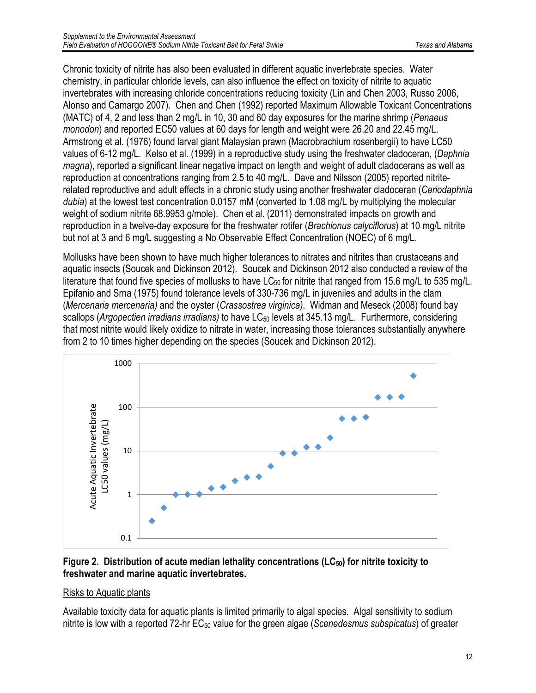Chronic toxicity of nitrite has also been evaluated in different aquatic invertebrate species. Water chemistry, in particular chloride levels, can also influence the effect on toxicity of nitrite to aquatic invertebrates with increasing chloride concentrations reducing toxicity (Lin and Chen 2003, Russo 2006, Alonso and Camargo 2007). Chen and Chen (1992) reported Maximum Allowable Toxicant Concentrations (MATC) of 4, 2 and less than 2 mg/L in 10, 30 and 60 day exposures for the marine shrimp (*Penaeus monodon*) and reported EC50 values at 60 days for length and weight were 26.20 and 22.45 mg/L. Armstrong et al. (1976) found larval giant Malaysian prawn (Macrobrachium rosenbergii) to have LC50 values of 6-12 mg/L. Kelso et al. (1999) in a reproductive study using the freshwater cladoceran, (*Daphnia magna*), reported a significant linear negative impact on length and weight of adult cladocerans as well as reproduction at concentrations ranging from 2.5 to 40 mg/L. Dave and Nilsson (2005) reported nitriterelated reproductive and adult effects in a chronic study using another freshwater cladoceran (*Ceriodaphnia dubia*) at the lowest test concentration 0.0157 mM (converted to 1.08 mg/L by multiplying the molecular weight of sodium nitrite 68.9953 g/mole). Chen et al. (2011) demonstrated impacts on growth and reproduction in a twelve-day exposure for the freshwater rotifer (*Brachionus calyciflorus*) at 10 mg/L nitrite but not at 3 and 6 mg/L suggesting a No Observable Effect Concentration (NOEC) of 6 mg/L.

Mollusks have been shown to have much higher tolerances to nitrates and nitrites than crustaceans and aquatic insects (Soucek and Dickinson 2012). Soucek and Dickinson 2012 also conducted a review of the literature that found five species of mollusks to have LC50 for nitrite that ranged from 15.6 mg/L to 535 mg/L. Epifanio and Srna (1975) found tolerance levels of 330-736 mg/L in juveniles and adults in the clam (*Mercenaria mercenaria)* and the oyster (*Crassostrea virginica)*. Widman and Meseck (2008) found bay scallops (Argopectien irradians irradians) to have LC<sub>50</sub> levels at 345.13 mg/L. Furthermore, considering that most nitrite would likely oxidize to nitrate in water, increasing those tolerances substantially anywhere from 2 to 10 times higher depending on the species (Soucek and Dickinson 2012).



# Figure 2. Distribution of acute median lethality concentrations (LC<sub>50</sub>) for nitrite toxicity to **freshwater and marine aquatic invertebrates.**

# Risks to Aquatic plants

Available toxicity data for aquatic plants is limited primarily to algal species. Algal sensitivity to sodium nitrite is low with a reported 72-hr EC<sub>50</sub> value for the green algae (*Scenedesmus subspicatus*) of greater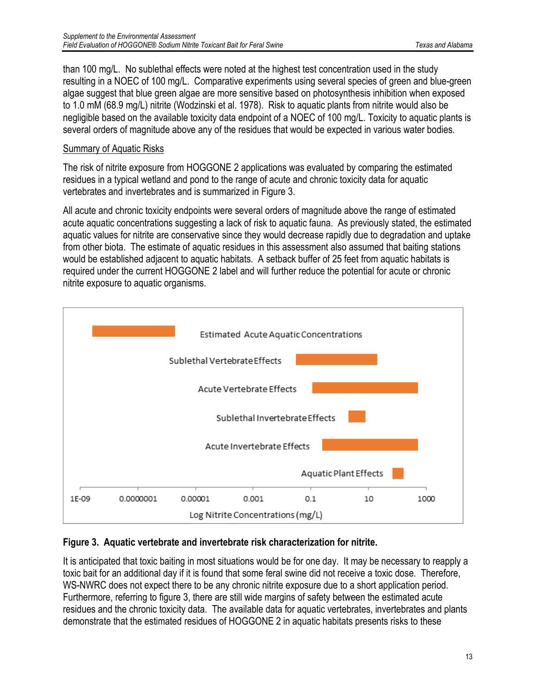than 100 mg/L. No sublethal effects were noted at the highest test concentration used in the study resulting in a NOEC of 100 mg/L. Comparative experiments using several species of green and blue-green algae suggest that blue green algae are more sensitive based on photosynthesis inhibition when exposed to 1.0 mM (68.9 mg/L) nitrite (Wodzinski et al. 1978). Risk to aquatic plants from nitrite would also be negligible based on the available toxicity data endpoint of a NOEC of 100 mg/L. Toxicity to aquatic plants is several orders of magnitude above any of the residues that would be expected in various water bodies.

#### Summary of Aquatic Risks

The risk of nitrite exposure from HOGGONE 2 applications was evaluated by comparing the estimated residues in a typical wetland and pond to the range of acute and chronic toxicity data for aquatic vertebrates and invertebrates and is summarized in Figure 3.

All acute and chronic toxicity endpoints were several orders of magnitude above the range of estimated acute aquatic concentrations suggesting a lack of risk to aquatic fauna. As previously stated, the estimated aquatic values for nitrite are conservative since they would decrease rapidly due to degradation and uptake from other biota. The estimate of aquatic residues in this assessment also assumed that baiting stations would be established adjacent to aquatic habitats. A setback buffer of 25 feet from aquatic habitats is required under the current HOGGONE 2 label and will further reduce the potential for acute or chronic nitrite exposure to aquatic organisms.



#### **Figure 3. Aquatic vertebrate and invertebrate risk characterization for nitrite.**

It is anticipated that toxic baiting in most situations would be for one day. It may be necessary to reapply a toxic bait for an additional day if it is found that some feral swine did not receive a toxic dose. Therefore, WS-NWRC does not expect there to be any chronic nitrite exposure due to a short application period. Furthermore, referring to figure 3, there are still wide margins of safety between the estimated acute residues and the chronic toxicity data. The available data for aquatic vertebrates, invertebrates and plants demonstrate that the estimated residues of HOGGONE 2 in aquatic habitats presents risks to these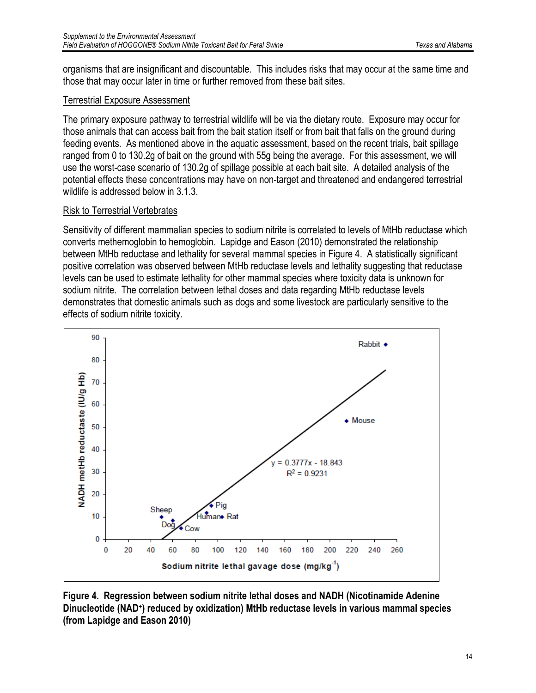organisms that are insignificant and discountable. This includes risks that may occur at the same time and those that may occur later in time or further removed from these bait sites.

#### Terrestrial Exposure Assessment

The primary exposure pathway to terrestrial wildlife will be via the dietary route. Exposure may occur for those animals that can access bait from the bait station itself or from bait that falls on the ground during feeding events. As mentioned above in the aquatic assessment, based on the recent trials, bait spillage ranged from 0 to 130.2g of bait on the ground with 55g being the average. For this assessment, we will use the worst-case scenario of 130.2g of spillage possible at each bait site. A detailed analysis of the potential effects these concentrations may have on non-target and threatened and endangered terrestrial wildlife is addressed below in 3.1.3.

#### Risk to Terrestrial Vertebrates

Sensitivity of different mammalian species to sodium nitrite is correlated to levels of MtHb reductase which converts methemoglobin to hemoglobin. Lapidge and Eason (2010) demonstrated the relationship between MtHb reductase and lethality for several mammal species in Figure 4. A statistically significant positive correlation was observed between MtHb reductase levels and lethality suggesting that reductase levels can be used to estimate lethality for other mammal species where toxicity data is unknown for sodium nitrite. The correlation between lethal doses and data regarding MtHb reductase levels demonstrates that domestic animals such as dogs and some livestock are particularly sensitive to the effects of sodium nitrite toxicity.



**Figure 4. Regression between sodium nitrite lethal doses and NADH (Nicotinamide Adenine Dinucleotide (NAD+) reduced by oxidization) MtHb reductase levels in various mammal species (from Lapidge and Eason 2010)**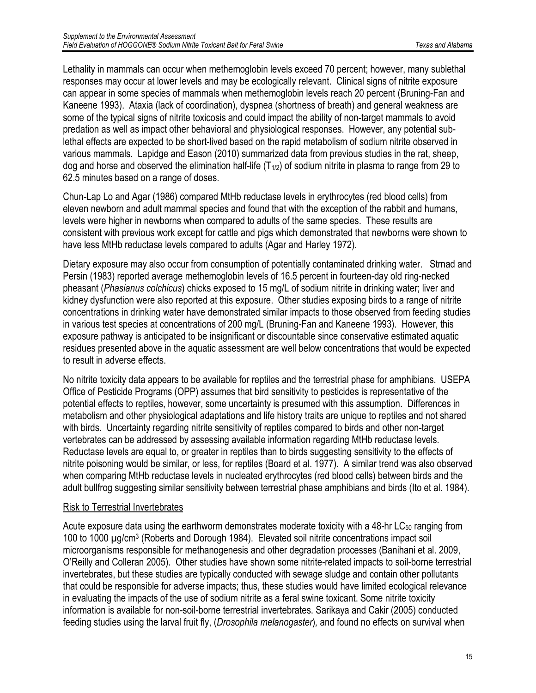Lethality in mammals can occur when methemoglobin levels exceed 70 percent; however, many sublethal responses may occur at lower levels and may be ecologically relevant. Clinical signs of nitrite exposure can appear in some species of mammals when methemoglobin levels reach 20 percent (Bruning-Fan and Kaneene 1993). Ataxia (lack of coordination), dyspnea (shortness of breath) and general weakness are some of the typical signs of nitrite toxicosis and could impact the ability of non-target mammals to avoid predation as well as impact other behavioral and physiological responses. However, any potential sublethal effects are expected to be short-lived based on the rapid metabolism of sodium nitrite observed in various mammals. Lapidge and Eason (2010) summarized data from previous studies in the rat, sheep, dog and horse and observed the elimination half-life  $(T_{1/2})$  of sodium nitrite in plasma to range from 29 to 62.5 minutes based on a range of doses.

Chun-Lap Lo and Agar (1986) compared MtHb reductase levels in erythrocytes (red blood cells) from eleven newborn and adult mammal species and found that with the exception of the rabbit and humans, levels were higher in newborns when compared to adults of the same species. These results are consistent with previous work except for cattle and pigs which demonstrated that newborns were shown to have less MtHb reductase levels compared to adults (Agar and Harley 1972).

Dietary exposure may also occur from consumption of potentially contaminated drinking water. Strnad and Persin (1983) reported average methemoglobin levels of 16.5 percent in fourteen-day old ring-necked pheasant (*Phasianus colchicus*) chicks exposed to 15 mg/L of sodium nitrite in drinking water; liver and kidney dysfunction were also reported at this exposure. Other studies exposing birds to a range of nitrite concentrations in drinking water have demonstrated similar impacts to those observed from feeding studies in various test species at concentrations of 200 mg/L (Bruning-Fan and Kaneene 1993). However, this exposure pathway is anticipated to be insignificant or discountable since conservative estimated aquatic residues presented above in the aquatic assessment are well below concentrations that would be expected to result in adverse effects.

No nitrite toxicity data appears to be available for reptiles and the terrestrial phase for amphibians. USEPA Office of Pesticide Programs (OPP) assumes that bird sensitivity to pesticides is representative of the potential effects to reptiles, however, some uncertainty is presumed with this assumption. Differences in metabolism and other physiological adaptations and life history traits are unique to reptiles and not shared with birds. Uncertainty regarding nitrite sensitivity of reptiles compared to birds and other non-target vertebrates can be addressed by assessing available information regarding MtHb reductase levels. Reductase levels are equal to, or greater in reptiles than to birds suggesting sensitivity to the effects of nitrite poisoning would be similar, or less, for reptiles (Board et al. 1977). A similar trend was also observed when comparing MtHb reductase levels in nucleated erythrocytes (red blood cells) between birds and the adult bullfrog suggesting similar sensitivity between terrestrial phase amphibians and birds (Ito et al. 1984).

#### Risk to Terrestrial Invertebrates

Acute exposure data using the earthworm demonstrates moderate toxicity with a 48-hr LC<sub>50</sub> ranging from 100 to 1000 µg/cm3 (Roberts and Dorough 1984). Elevated soil nitrite concentrations impact soil microorganisms responsible for methanogenesis and other degradation processes (Banihani et al. 2009, O'Reilly and Colleran 2005). Other studies have shown some nitrite-related impacts to soil-borne terrestrial invertebrates, but these studies are typically conducted with sewage sludge and contain other pollutants that could be responsible for adverse impacts; thus, these studies would have limited ecological relevance in evaluating the impacts of the use of sodium nitrite as a feral swine toxicant. Some nitrite toxicity information is available for non-soil-borne terrestrial invertebrates. Sarikaya and Cakir (2005) conducted feeding studies using the larval fruit fly, (*Drosophila melanogaster*)*,* and found no effects on survival when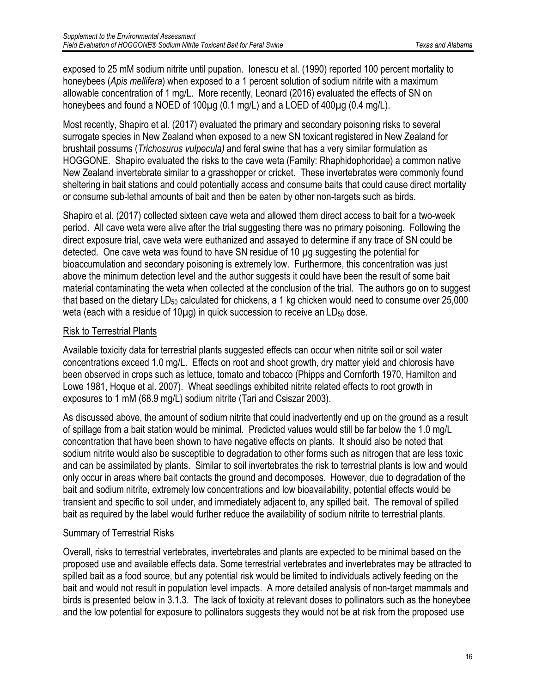exposed to 25 mM sodium nitrite until pupation. Ionescu et al. (1990) reported 100 percent mortality to honeybees (*Apis mellifera*) when exposed to a 1 percent solution of sodium nitrite with a maximum allowable concentration of 1 mg/L. More recently, Leonard (2016) evaluated the effects of SN on honeybees and found a NOED of 100µg (0.1 mg/L) and a LOED of 400µg (0.4 mg/L).

Most recently, Shapiro et al. (2017) evaluated the primary and secondary poisoning risks to several surrogate species in New Zealand when exposed to a new SN toxicant registered in New Zealand for brushtail possums (*Trichosurus vulpecula)* and feral swine that has a very similar formulation as HOGGONE. Shapiro evaluated the risks to the cave weta (Family: Rhaphidophoridae) a common native New Zealand invertebrate similar to a grasshopper or cricket. These invertebrates were commonly found sheltering in bait stations and could potentially access and consume baits that could cause direct mortality or consume sub-lethal amounts of bait and then be eaten by other non-targets such as birds.

Shapiro et al. (2017) collected sixteen cave weta and allowed them direct access to bait for a two-week period. All cave weta were alive after the trial suggesting there was no primary poisoning. Following the direct exposure trial, cave weta were euthanized and assayed to determine if any trace of SN could be detected. One cave weta was found to have SN residue of 10 µg suggesting the potential for bioaccumulation and secondary poisoning is extremely low. Furthermore, this concentration was just above the minimum detection level and the author suggests it could have been the result of some bait material contaminating the weta when collected at the conclusion of the trial. The authors go on to suggest that based on the dietary LD $_{50}$  calculated for chickens, a 1 kg chicken would need to consume over 25,000 weta (each with a residue of  $10\mu$ g) in quick succession to receive an LD $_{50}$  dose.

### Risk to Terrestrial Plants

Available toxicity data for terrestrial plants suggested effects can occur when nitrite soil or soil water concentrations exceed 1.0 mg/L. Effects on root and shoot growth, dry matter yield and chlorosis have been observed in crops such as lettuce, tomato and tobacco (Phipps and Cornforth 1970, Hamilton and Lowe 1981, Hoque et al. 2007). Wheat seedlings exhibited nitrite related effects to root growth in exposures to 1 mM (68.9 mg/L) sodium nitrite (Tari and Csiszar 2003).

As discussed above, the amount of sodium nitrite that could inadvertently end up on the ground as a result of spillage from a bait station would be minimal. Predicted values would still be far below the 1.0 mg/L concentration that have been shown to have negative effects on plants. It should also be noted that sodium nitrite would also be susceptible to degradation to other forms such as nitrogen that are less toxic and can be assimilated by plants. Similar to soil invertebrates the risk to terrestrial plants is low and would only occur in areas where bait contacts the ground and decomposes. However, due to degradation of the bait and sodium nitrite, extremely low concentrations and low bioavailability, potential effects would be transient and specific to soil under, and immediately adjacent to, any spilled bait. The removal of spilled bait as required by the label would further reduce the availability of sodium nitrite to terrestrial plants.

# Summary of Terrestrial Risks

Overall, risks to terrestrial vertebrates, invertebrates and plants are expected to be minimal based on the proposed use and available effects data. Some terrestrial vertebrates and invertebrates may be attracted to spilled bait as a food source, but any potential risk would be limited to individuals actively feeding on the bait and would not result in population level impacts. A more detailed analysis of non-target mammals and birds is presented below in 3.1.3. The lack of toxicity at relevant doses to pollinators such as the honeybee and the low potential for exposure to pollinators suggests they would not be at risk from the proposed use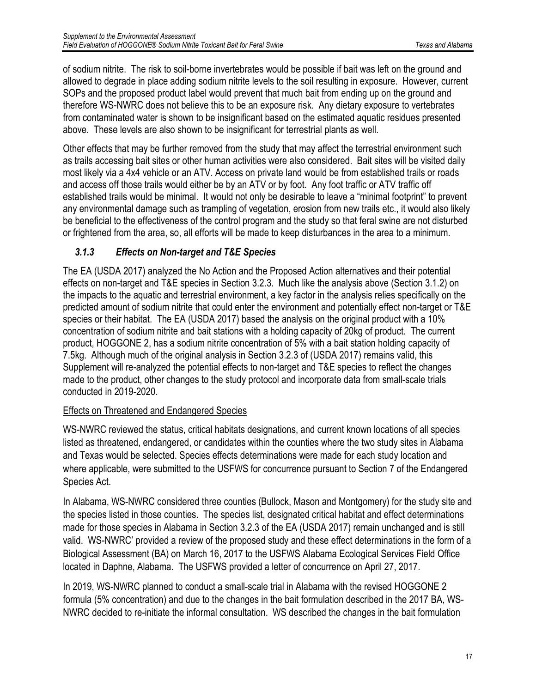of sodium nitrite. The risk to soil-borne invertebrates would be possible if bait was left on the ground and allowed to degrade in place adding sodium nitrite levels to the soil resulting in exposure. However, current SOPs and the proposed product label would prevent that much bait from ending up on the ground and therefore WS-NWRC does not believe this to be an exposure risk. Any dietary exposure to vertebrates from contaminated water is shown to be insignificant based on the estimated aquatic residues presented above. These levels are also shown to be insignificant for terrestrial plants as well.

Other effects that may be further removed from the study that may affect the terrestrial environment such as trails accessing bait sites or other human activities were also considered. Bait sites will be visited daily most likely via a 4x4 vehicle or an ATV. Access on private land would be from established trails or roads and access off those trails would either be by an ATV or by foot. Any foot traffic or ATV traffic off established trails would be minimal. It would not only be desirable to leave a "minimal footprint" to prevent any environmental damage such as trampling of vegetation, erosion from new trails etc., it would also likely be beneficial to the effectiveness of the control program and the study so that feral swine are not disturbed or frightened from the area, so, all efforts will be made to keep disturbances in the area to a minimum.

# <span id="page-17-0"></span>*3.1.3 Effects on Non-target and T&E Species*

The EA (USDA 2017) analyzed the No Action and the Proposed Action alternatives and their potential effects on non-target and T&E species in Section 3.2.3. Much like the analysis above (Section 3.1.2) on the impacts to the aquatic and terrestrial environment, a key factor in the analysis relies specifically on the predicted amount of sodium nitrite that could enter the environment and potentially effect non-target or T&E species or their habitat. The EA (USDA 2017) based the analysis on the original product with a 10% concentration of sodium nitrite and bait stations with a holding capacity of 20kg of product. The current product, HOGGONE 2, has a sodium nitrite concentration of 5% with a bait station holding capacity of 7.5kg. Although much of the original analysis in Section 3.2.3 of (USDA 2017) remains valid, this Supplement will re-analyzed the potential effects to non-target and T&E species to reflect the changes made to the product, other changes to the study protocol and incorporate data from small-scale trials conducted in 2019-2020.

# Effects on Threatened and Endangered Species

WS-NWRC reviewed the status, critical habitats designations, and current known locations of all species listed as threatened, endangered, or candidates within the counties where the two study sites in Alabama and Texas would be selected. Species effects determinations were made for each study location and where applicable, were submitted to the USFWS for concurrence pursuant to Section 7 of the Endangered Species Act.

In Alabama, WS-NWRC considered three counties (Bullock, Mason and Montgomery) for the study site and the species listed in those counties. The species list, designated critical habitat and effect determinations made for those species in Alabama in Section 3.2.3 of the EA (USDA 2017) remain unchanged and is still valid. WS-NWRC' provided a review of the proposed study and these effect determinations in the form of a Biological Assessment (BA) on March 16, 2017 to the USFWS Alabama Ecological Services Field Office located in Daphne, Alabama. The USFWS provided a letter of concurrence on April 27, 2017.

In 2019, WS-NWRC planned to conduct a small-scale trial in Alabama with the revised HOGGONE 2 formula (5% concentration) and due to the changes in the bait formulation described in the 2017 BA, WS-NWRC decided to re-initiate the informal consultation. WS described the changes in the bait formulation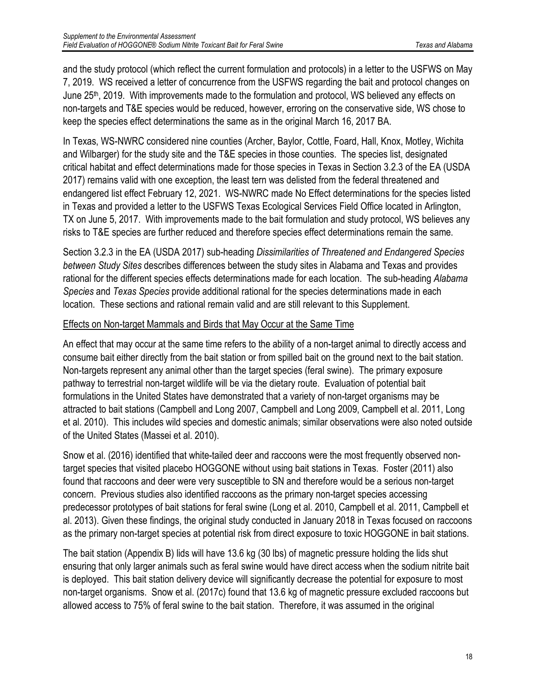and the study protocol (which reflect the current formulation and protocols) in a letter to the USFWS on May 7, 2019. WS received a letter of concurrence from the USFWS regarding the bait and protocol changes on June  $25<sup>th</sup>$ , 2019. With improvements made to the formulation and protocol, WS believed any effects on non-targets and T&E species would be reduced, however, erroring on the conservative side, WS chose to keep the species effect determinations the same as in the original March 16, 2017 BA.

In Texas, WS-NWRC considered nine counties (Archer, Baylor, Cottle, Foard, Hall, Knox, Motley, Wichita and Wilbarger) for the study site and the T&E species in those counties. The species list, designated critical habitat and effect determinations made for those species in Texas in Section 3.2.3 of the EA (USDA 2017) remains valid with one exception, the least tern was delisted from the federal threatened and endangered list effect February 12, 2021. WS-NWRC made No Effect determinations for the species listed in Texas and provided a letter to the USFWS Texas Ecological Services Field Office located in Arlington, TX on June 5, 2017. With improvements made to the bait formulation and study protocol, WS believes any risks to T&E species are further reduced and therefore species effect determinations remain the same.

Section 3.2.3 in the EA (USDA 2017) sub-heading *Dissimilarities of Threatened and Endangered Species between Study Sites* describes differences between the study sites in Alabama and Texas and provides rational for the different species effects determinations made for each location. The sub-heading *Alabama Species* and *Texas Species* provide additional rational for the species determinations made in each location. These sections and rational remain valid and are still relevant to this Supplement.

#### Effects on Non-target Mammals and Birds that May Occur at the Same Time

An effect that may occur at the same time refers to the ability of a non-target animal to directly access and consume bait either directly from the bait station or from spilled bait on the ground next to the bait station. Non-targets represent any animal other than the target species (feral swine). The primary exposure pathway to terrestrial non-target wildlife will be via the dietary route. Evaluation of potential bait formulations in the United States have demonstrated that a variety of non-target organisms may be attracted to bait stations (Campbell and Long 2007, Campbell and Long 2009, Campbell et al. 2011, Long et al. 2010). This includes wild species and domestic animals; similar observations were also noted outside of the United States (Massei et al. 2010).

Snow et al. (2016) identified that white-tailed deer and raccoons were the most frequently observed nontarget species that visited placebo HOGGONE without using bait stations in Texas. Foster (2011) also found that raccoons and deer were very susceptible to SN and therefore would be a serious non-target concern. Previous studies also identified raccoons as the primary non-target species accessing predecessor prototypes of bait stations for feral swine (Long et al. 2010, Campbell et al. 2011, Campbell et al. 2013). Given these findings, the original study conducted in January 2018 in Texas focused on raccoons as the primary non-target species at potential risk from direct exposure to toxic HOGGONE in bait stations.

The bait station (Appendix B) lids will have 13.6 kg (30 lbs) of magnetic pressure holding the lids shut ensuring that only larger animals such as feral swine would have direct access when the sodium nitrite bait is deployed. This bait station delivery device will significantly decrease the potential for exposure to most non-target organisms. Snow et al. (2017c) found that 13.6 kg of magnetic pressure excluded raccoons but allowed access to 75% of feral swine to the bait station. Therefore, it was assumed in the original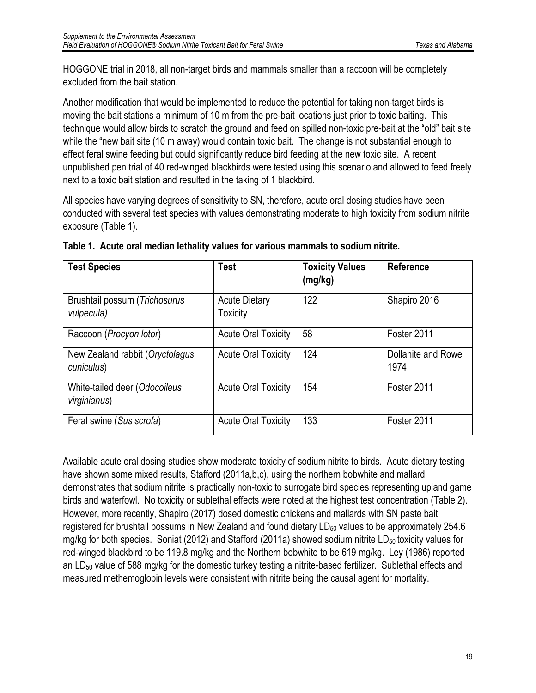HOGGONE trial in 2018, all non-target birds and mammals smaller than a raccoon will be completely excluded from the bait station.

Another modification that would be implemented to reduce the potential for taking non-target birds is moving the bait stations a minimum of 10 m from the pre-bait locations just prior to toxic baiting. This technique would allow birds to scratch the ground and feed on spilled non-toxic pre-bait at the "old" bait site while the "new bait site (10 m away) would contain toxic bait. The change is not substantial enough to effect feral swine feeding but could significantly reduce bird feeding at the new toxic site. A recent unpublished pen trial of 40 red-winged blackbirds were tested using this scenario and allowed to feed freely next to a toxic bait station and resulted in the taking of 1 blackbird.

All species have varying degrees of sensitivity to SN, therefore, acute oral dosing studies have been conducted with several test species with values demonstrating moderate to high toxicity from sodium nitrite exposure (Table 1).

| <b>Test Species</b>                           | <b>Test</b>                      | <b>Toxicity Values</b><br>(mg/kg) | Reference                  |
|-----------------------------------------------|----------------------------------|-----------------------------------|----------------------------|
| Brushtail possum (Trichosurus<br>vulpecula)   | <b>Acute Dietary</b><br>Toxicity | 122                               | Shapiro 2016               |
| Raccoon (Procyon lotor)                       | <b>Acute Oral Toxicity</b>       | 58                                | Foster 2011                |
| New Zealand rabbit (Oryctolagus<br>cuniculus) | <b>Acute Oral Toxicity</b>       | 124                               | Dollahite and Rowe<br>1974 |
| White-tailed deer (Odocoileus<br>virginianus) | <b>Acute Oral Toxicity</b>       | 154                               | Foster 2011                |
| Feral swine (Sus scrofa)                      | <b>Acute Oral Toxicity</b>       | 133                               | Foster 2011                |

|  | Table 1. Acute oral median lethality values for various mammals to sodium nitrite. |
|--|------------------------------------------------------------------------------------|
|--|------------------------------------------------------------------------------------|

Available acute oral dosing studies show moderate toxicity of sodium nitrite to birds. Acute dietary testing have shown some mixed results, Stafford (2011a,b,c), using the northern bobwhite and mallard demonstrates that sodium nitrite is practically non-toxic to surrogate bird species representing upland game birds and waterfowl. No toxicity or sublethal effects were noted at the highest test concentration (Table 2). However, more recently, Shapiro (2017) dosed domestic chickens and mallards with SN paste bait registered for brushtail possums in New Zealand and found dietary LD<sub>50</sub> values to be approximately 254.6 mg/kg for both species. Soniat (2012) and Stafford (2011a) showed sodium nitrite LD<sub>50</sub> toxicity values for red-winged blackbird to be 119.8 mg/kg and the Northern bobwhite to be 619 mg/kg. Ley (1986) reported an LD<sub>50</sub> value of 588 mg/kg for the domestic turkey testing a nitrite-based fertilizer. Sublethal effects and measured methemoglobin levels were consistent with nitrite being the causal agent for mortality.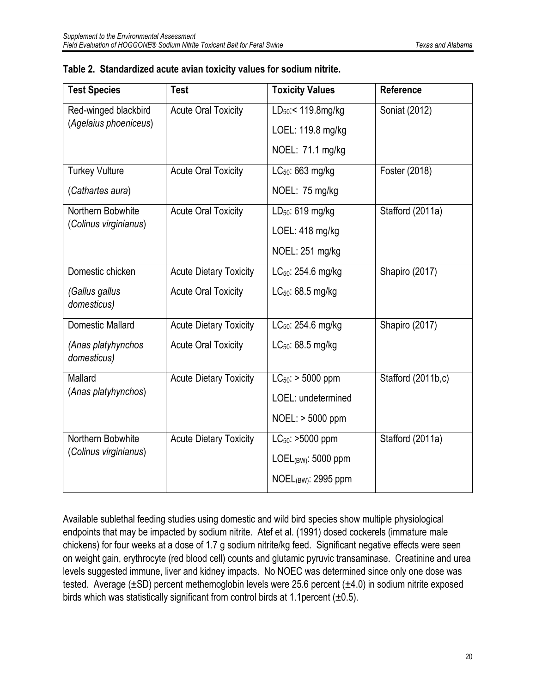| <b>Test Species</b>               | <b>Test</b>                   | <b>Toxicity Values</b>          | Reference          |
|-----------------------------------|-------------------------------|---------------------------------|--------------------|
| Red-winged blackbird              | <b>Acute Oral Toxicity</b>    | LD <sub>50</sub> :< 119.8mg/kg  | Soniat (2012)      |
| (Agelaius phoeniceus)             |                               | LOEL: 119.8 mg/kg               |                    |
|                                   |                               | NOEL: 71.1 mg/kg                |                    |
| <b>Turkey Vulture</b>             | <b>Acute Oral Toxicity</b>    | LC <sub>50</sub> : 663 mg/kg    | Foster (2018)      |
| (Cathartes aura)                  |                               | NOEL: 75 mg/kg                  |                    |
| Northern Bobwhite                 | <b>Acute Oral Toxicity</b>    | LD <sub>50</sub> : 619 mg/kg    | Stafford (2011a)   |
| (Colinus virginianus)             |                               | LOEL: 418 mg/kg                 |                    |
|                                   |                               | NOEL: 251 mg/kg                 |                    |
| Domestic chicken                  | <b>Acute Dietary Toxicity</b> | LC <sub>50</sub> : 254.6 mg/kg  | Shapiro (2017)     |
| (Gallus gallus<br>domesticus)     | <b>Acute Oral Toxicity</b>    | $LC_{50}$ : 68.5 mg/kg          |                    |
| <b>Domestic Mallard</b>           | <b>Acute Dietary Toxicity</b> | $LC_{50}$ : 254.6 mg/kg         | Shapiro (2017)     |
| (Anas platyhynchos<br>domesticus) | <b>Acute Oral Toxicity</b>    | $LC_{50}$ : 68.5 mg/kg          |                    |
| Mallard                           | <b>Acute Dietary Toxicity</b> | $LC_{50}$ : > 5000 ppm          | Stafford (2011b,c) |
| (Anas platyhynchos)               |                               | LOEL: undetermined              |                    |
|                                   |                               | NOEL: > 5000 ppm                |                    |
| Northern Bobwhite                 | <b>Acute Dietary Toxicity</b> | $LC_{50}$ : >5000 ppm           | Stafford (2011a)   |
| (Colinus virginianus)             |                               | LOEL $_{(BW)}$ : 5000 ppm       |                    |
|                                   |                               | NOEL <sub>(BW)</sub> : 2995 ppm |                    |

Available sublethal feeding studies using domestic and wild bird species show multiple physiological endpoints that may be impacted by sodium nitrite. Atef et al. (1991) dosed cockerels (immature male chickens) for four weeks at a dose of 1.7 g sodium nitrite/kg feed. Significant negative effects were seen on weight gain, erythrocyte (red blood cell) counts and glutamic pyruvic transaminase. Creatinine and urea levels suggested immune, liver and kidney impacts. No NOEC was determined since only one dose was tested. Average (±SD) percent methemoglobin levels were 25.6 percent (±4.0) in sodium nitrite exposed birds which was statistically significant from control birds at 1.1 percent  $(\pm 0.5)$ .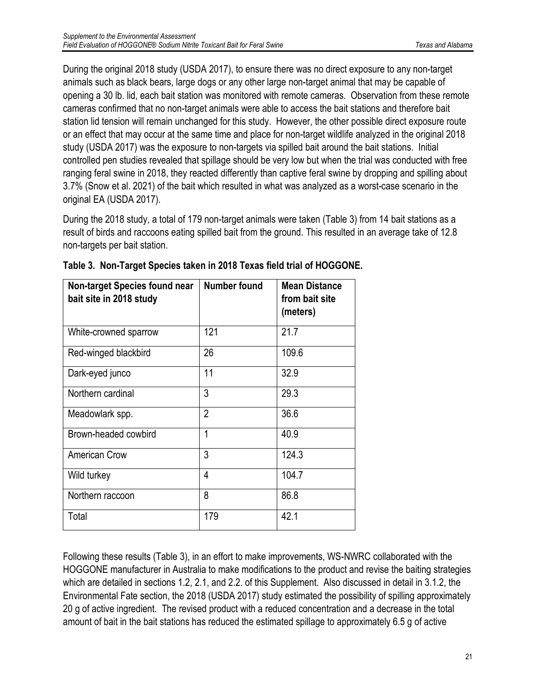During the original 2018 study (USDA 2017), to ensure there was no direct exposure to any non-target animals such as black bears, large dogs or any other large non-target animal that may be capable of opening a 30 lb. lid, each bait station was monitored with remote cameras. Observation from these remote cameras confirmed that no non-target animals were able to access the bait stations and therefore bait station lid tension will remain unchanged for this study. However, the other possible direct exposure route or an effect that may occur at the same time and place for non-target wildlife analyzed in the original 2018 study (USDA 2017) was the exposure to non-targets via spilled bait around the bait stations. Initial controlled pen studies revealed that spillage should be very low but when the trial was conducted with free ranging feral swine in 2018, they reacted differently than captive feral swine by dropping and spilling about 3.7% (Snow et al. 2021) of the bait which resulted in what was analyzed as a worst-case scenario in the original EA (USDA 2017).

During the 2018 study, a total of 179 non-target animals were taken (Table 3) from 14 bait stations as a result of birds and raccoons eating spilled bait from the ground. This resulted in an average take of 12.8 non-targets per bait station.

| Non-target Species found near<br>bait site in 2018 study | <b>Number found</b> | <b>Mean Distance</b><br>from bait site<br>(meters) |
|----------------------------------------------------------|---------------------|----------------------------------------------------|
| White-crowned sparrow                                    | 121                 | 21.7                                               |
| Red-winged blackbird                                     | 26                  | 109.6                                              |
| Dark-eyed junco                                          | 11                  | 32.9                                               |
| Northern cardinal                                        | 3                   | 29.3                                               |
| Meadowlark spp.                                          | $\overline{2}$      | 36.6                                               |
| Brown-headed cowbird                                     | 1                   | 40.9                                               |
| American Crow                                            | 3                   | 124.3                                              |
| Wild turkey                                              | 4                   | 104.7                                              |
| Northern raccoon                                         | 8                   | 86.8                                               |
| Total                                                    | 179                 | 42.1                                               |

Following these results (Table 3), in an effort to make improvements, WS-NWRC collaborated with the HOGGONE manufacturer in Australia to make modifications to the product and revise the baiting strategies which are detailed in sections 1.2, 2.1, and 2.2. of this Supplement. Also discussed in detail in 3.1.2, the Environmental Fate section, the 2018 (USDA 2017) study estimated the possibility of spilling approximately 20 g of active ingredient. The revised product with a reduced concentration and a decrease in the total amount of bait in the bait stations has reduced the estimated spillage to approximately 6.5 g of active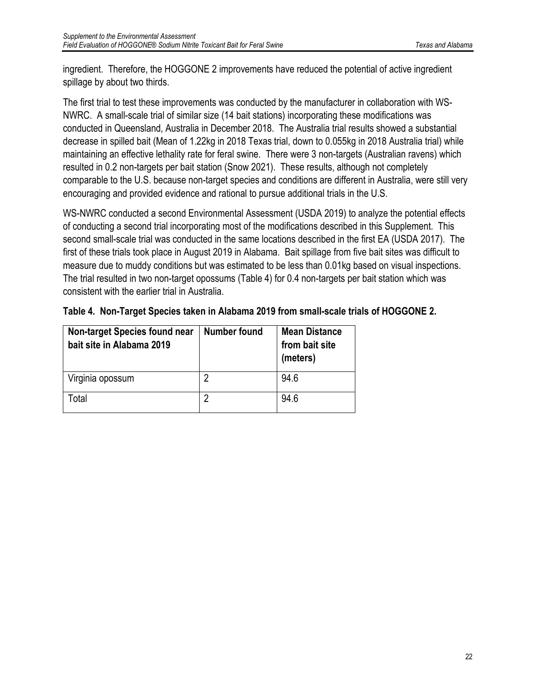ingredient. Therefore, the HOGGONE 2 improvements have reduced the potential of active ingredient spillage by about two thirds.

The first trial to test these improvements was conducted by the manufacturer in collaboration with WS-NWRC. A small-scale trial of similar size (14 bait stations) incorporating these modifications was conducted in Queensland, Australia in December 2018. The Australia trial results showed a substantial decrease in spilled bait (Mean of 1.22kg in 2018 Texas trial, down to 0.055kg in 2018 Australia trial) while maintaining an effective lethality rate for feral swine. There were 3 non-targets (Australian ravens) which resulted in 0.2 non-targets per bait station (Snow 2021). These results, although not completely comparable to the U.S. because non-target species and conditions are different in Australia, were still very encouraging and provided evidence and rational to pursue additional trials in the U.S.

WS-NWRC conducted a second Environmental Assessment (USDA 2019) to analyze the potential effects of conducting a second trial incorporating most of the modifications described in this Supplement. This second small-scale trial was conducted in the same locations described in the first EA (USDA 2017). The first of these trials took place in August 2019 in Alabama. Bait spillage from five bait sites was difficult to measure due to muddy conditions but was estimated to be less than 0.01kg based on visual inspections. The trial resulted in two non-target opossums (Table 4) for 0.4 non-targets per bait station which was consistent with the earlier trial in Australia.

|  |  |  |  |  |  | Table 4. Non-Target Species taken in Alabama 2019 from small-scale trials of HOGGONE 2. |
|--|--|--|--|--|--|-----------------------------------------------------------------------------------------|
|--|--|--|--|--|--|-----------------------------------------------------------------------------------------|

| Non-target Species found near<br>bait site in Alabama 2019 | Number found | <b>Mean Distance</b><br>from bait site<br>(meters) |
|------------------------------------------------------------|--------------|----------------------------------------------------|
| Virginia opossum                                           | 2            | 94.6                                               |
| Total                                                      | റ            | 94.6                                               |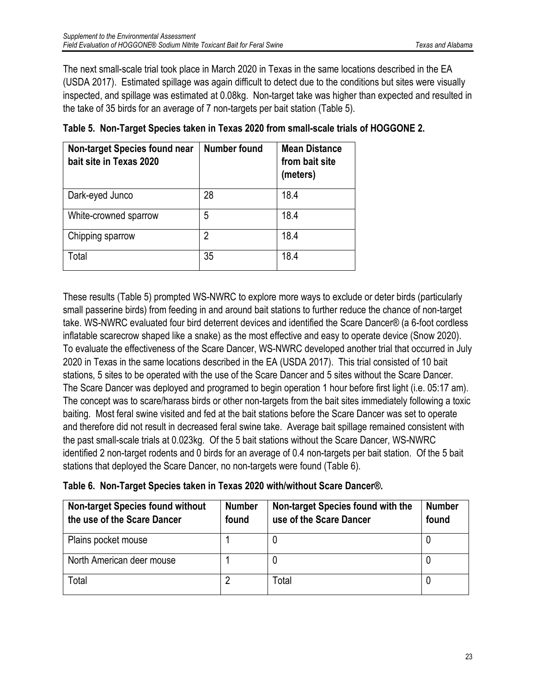The next small-scale trial took place in March 2020 in Texas in the same locations described in the EA (USDA 2017). Estimated spillage was again difficult to detect due to the conditions but sites were visually inspected, and spillage was estimated at 0.08kg. Non-target take was higher than expected and resulted in the take of 35 birds for an average of 7 non-targets per bait station (Table 5).

| Non-target Species found near<br>bait site in Texas 2020 | <b>Number found</b> | <b>Mean Distance</b><br>from bait site<br>(meters) |
|----------------------------------------------------------|---------------------|----------------------------------------------------|
| Dark-eyed Junco                                          | 28                  | 18.4                                               |
| White-crowned sparrow                                    | 5                   | 18.4                                               |
| Chipping sparrow                                         | 2                   | 18.4                                               |
| Total                                                    | 35                  | 18.4                                               |

|  | Table 5. Non-Target Species taken in Texas 2020 from small-scale trials of HOGGONE 2. |  |  |
|--|---------------------------------------------------------------------------------------|--|--|
|  |                                                                                       |  |  |

These results (Table 5) prompted WS-NWRC to explore more ways to exclude or deter birds (particularly small passerine birds) from feeding in and around bait stations to further reduce the chance of non-target take. WS-NWRC evaluated four bird deterrent devices and identified the Scare Dancer® (a 6-foot cordless inflatable scarecrow shaped like a snake) as the most effective and easy to operate device (Snow 2020). To evaluate the effectiveness of the Scare Dancer, WS-NWRC developed another trial that occurred in July 2020 in Texas in the same locations described in the EA (USDA 2017). This trial consisted of 10 bait stations, 5 sites to be operated with the use of the Scare Dancer and 5 sites without the Scare Dancer. The Scare Dancer was deployed and programed to begin operation 1 hour before first light (i.e. 05:17 am). The concept was to scare/harass birds or other non-targets from the bait sites immediately following a toxic baiting. Most feral swine visited and fed at the bait stations before the Scare Dancer was set to operate and therefore did not result in decreased feral swine take. Average bait spillage remained consistent with the past small-scale trials at 0.023kg. Of the 5 bait stations without the Scare Dancer, WS-NWRC identified 2 non-target rodents and 0 birds for an average of 0.4 non-targets per bait station. Of the 5 bait stations that deployed the Scare Dancer, no non-targets were found (Table 6).

| Table 6. Non-Target Species taken in Texas 2020 with/without Scare Dancer®. |  |  |  |  |
|-----------------------------------------------------------------------------|--|--|--|--|
|                                                                             |  |  |  |  |

| <b>Non-target Species found without</b><br>the use of the Scare Dancer | <b>Number</b><br>found | Non-target Species found with the<br>use of the Scare Dancer | <b>Number</b><br>found |
|------------------------------------------------------------------------|------------------------|--------------------------------------------------------------|------------------------|
| Plains pocket mouse                                                    |                        |                                                              |                        |
| North American deer mouse                                              |                        |                                                              |                        |
| Total                                                                  |                        | Total                                                        |                        |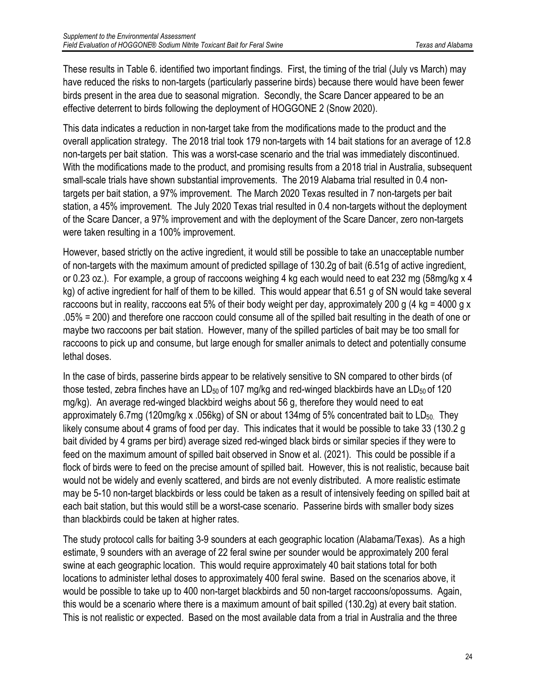These results in Table 6. identified two important findings. First, the timing of the trial (July vs March) may have reduced the risks to non-targets (particularly passerine birds) because there would have been fewer birds present in the area due to seasonal migration. Secondly, the Scare Dancer appeared to be an effective deterrent to birds following the deployment of HOGGONE 2 (Snow 2020).

This data indicates a reduction in non-target take from the modifications made to the product and the overall application strategy. The 2018 trial took 179 non-targets with 14 bait stations for an average of 12.8 non-targets per bait station. This was a worst-case scenario and the trial was immediately discontinued. With the modifications made to the product, and promising results from a 2018 trial in Australia, subsequent small-scale trials have shown substantial improvements. The 2019 Alabama trial resulted in 0.4 nontargets per bait station, a 97% improvement. The March 2020 Texas resulted in 7 non-targets per bait station, a 45% improvement. The July 2020 Texas trial resulted in 0.4 non-targets without the deployment of the Scare Dancer, a 97% improvement and with the deployment of the Scare Dancer, zero non-targets were taken resulting in a 100% improvement.

However, based strictly on the active ingredient, it would still be possible to take an unacceptable number of non-targets with the maximum amount of predicted spillage of 130.2g of bait (6.51g of active ingredient, or 0.23 oz.). For example, a group of raccoons weighing 4 kg each would need to eat 232 mg (58mg/kg x 4 kg) of active ingredient for half of them to be killed. This would appear that 6.51 g of SN would take several raccoons but in reality, raccoons eat 5% of their body weight per day, approximately 200 g (4 kg = 4000 g x .05% = 200) and therefore one raccoon could consume all of the spilled bait resulting in the death of one or maybe two raccoons per bait station. However, many of the spilled particles of bait may be too small for raccoons to pick up and consume, but large enough for smaller animals to detect and potentially consume lethal doses.

In the case of birds, passerine birds appear to be relatively sensitive to SN compared to other birds (of those tested, zebra finches have an  $LD_{50}$  of 107 mg/kg and red-winged blackbirds have an  $LD_{50}$  of 120 mg/kg). An average red-winged blackbird weighs about 56 g, therefore they would need to eat approximately 6.7mg (120mg/kg x .056kg) of SN or about 134mg of 5% concentrated bait to  $LD_{50}$ . They likely consume about 4 grams of food per day. This indicates that it would be possible to take 33 (130.2 g bait divided by 4 grams per bird) average sized red-winged black birds or similar species if they were to feed on the maximum amount of spilled bait observed in Snow et al. (2021). This could be possible if a flock of birds were to feed on the precise amount of spilled bait. However, this is not realistic, because bait would not be widely and evenly scattered, and birds are not evenly distributed. A more realistic estimate may be 5-10 non-target blackbirds or less could be taken as a result of intensively feeding on spilled bait at each bait station, but this would still be a worst-case scenario. Passerine birds with smaller body sizes than blackbirds could be taken at higher rates.

The study protocol calls for baiting 3-9 sounders at each geographic location (Alabama/Texas). As a high estimate, 9 sounders with an average of 22 feral swine per sounder would be approximately 200 feral swine at each geographic location. This would require approximately 40 bait stations total for both locations to administer lethal doses to approximately 400 feral swine. Based on the scenarios above, it would be possible to take up to 400 non-target blackbirds and 50 non-target raccoons/opossums. Again, this would be a scenario where there is a maximum amount of bait spilled (130.2g) at every bait station. This is not realistic or expected. Based on the most available data from a trial in Australia and the three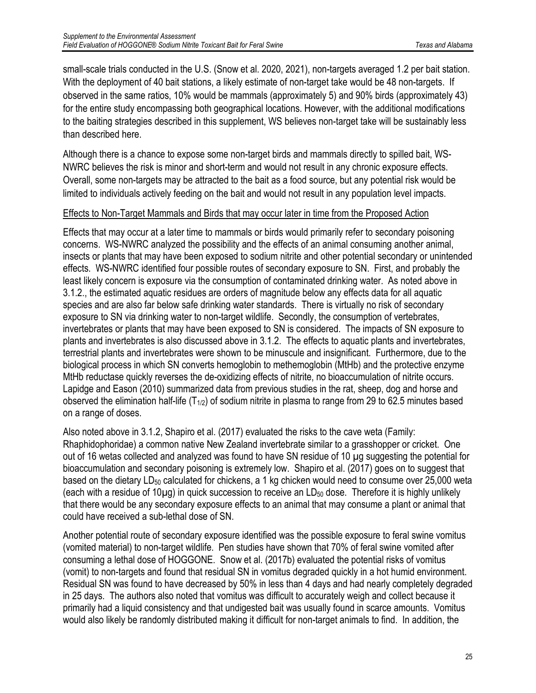small-scale trials conducted in the U.S. (Snow et al. 2020, 2021), non-targets averaged 1.2 per bait station. With the deployment of 40 bait stations, a likely estimate of non-target take would be 48 non-targets. If observed in the same ratios, 10% would be mammals (approximately 5) and 90% birds (approximately 43) for the entire study encompassing both geographical locations. However, with the additional modifications to the baiting strategies described in this supplement, WS believes non-target take will be sustainably less than described here.

Although there is a chance to expose some non-target birds and mammals directly to spilled bait, WS-NWRC believes the risk is minor and short-term and would not result in any chronic exposure effects. Overall, some non-targets may be attracted to the bait as a food source, but any potential risk would be limited to individuals actively feeding on the bait and would not result in any population level impacts.

#### Effects to Non-Target Mammals and Birds that may occur later in time from the Proposed Action

Effects that may occur at a later time to mammals or birds would primarily refer to secondary poisoning concerns. WS-NWRC analyzed the possibility and the effects of an animal consuming another animal, insects or plants that may have been exposed to sodium nitrite and other potential secondary or unintended effects. WS-NWRC identified four possible routes of secondary exposure to SN. First, and probably the least likely concern is exposure via the consumption of contaminated drinking water. As noted above in 3.1.2., the estimated aquatic residues are orders of magnitude below any effects data for all aquatic species and are also far below safe drinking water standards. There is virtually no risk of secondary exposure to SN via drinking water to non-target wildlife. Secondly, the consumption of vertebrates, invertebrates or plants that may have been exposed to SN is considered. The impacts of SN exposure to plants and invertebrates is also discussed above in 3.1.2. The effects to aquatic plants and invertebrates, terrestrial plants and invertebrates were shown to be minuscule and insignificant. Furthermore, due to the biological process in which SN converts hemoglobin to methemoglobin (MtHb) and the protective enzyme MtHb reductase quickly reverses the de-oxidizing effects of nitrite, no bioaccumulation of nitrite occurs. Lapidge and Eason (2010) summarized data from previous studies in the rat, sheep, dog and horse and observed the elimination half-life  $(T_{1/2})$  of sodium nitrite in plasma to range from 29 to 62.5 minutes based on a range of doses.

Also noted above in 3.1.2, Shapiro et al. (2017) evaluated the risks to the cave weta (Family: Rhaphidophoridae) a common native New Zealand invertebrate similar to a grasshopper or cricket. One out of 16 wetas collected and analyzed was found to have SN residue of 10 µg suggesting the potential for bioaccumulation and secondary poisoning is extremely low. Shapiro et al. (2017) goes on to suggest that based on the dietary LD<sub>50</sub> calculated for chickens, a 1 kg chicken would need to consume over 25,000 weta (each with a residue of 10 $\mu$ g) in quick succession to receive an LD $_{50}$  dose. Therefore it is highly unlikely that there would be any secondary exposure effects to an animal that may consume a plant or animal that could have received a sub-lethal dose of SN.

Another potential route of secondary exposure identified was the possible exposure to feral swine vomitus (vomited material) to non-target wildlife. Pen studies have shown that 70% of feral swine vomited after consuming a lethal dose of HOGGONE. Snow et al. (2017b) evaluated the potential risks of vomitus (vomit) to non-targets and found that residual SN in vomitus degraded quickly in a hot humid environment. Residual SN was found to have decreased by 50% in less than 4 days and had nearly completely degraded in 25 days. The authors also noted that vomitus was difficult to accurately weigh and collect because it primarily had a liquid consistency and that undigested bait was usually found in scarce amounts. Vomitus would also likely be randomly distributed making it difficult for non-target animals to find. In addition, the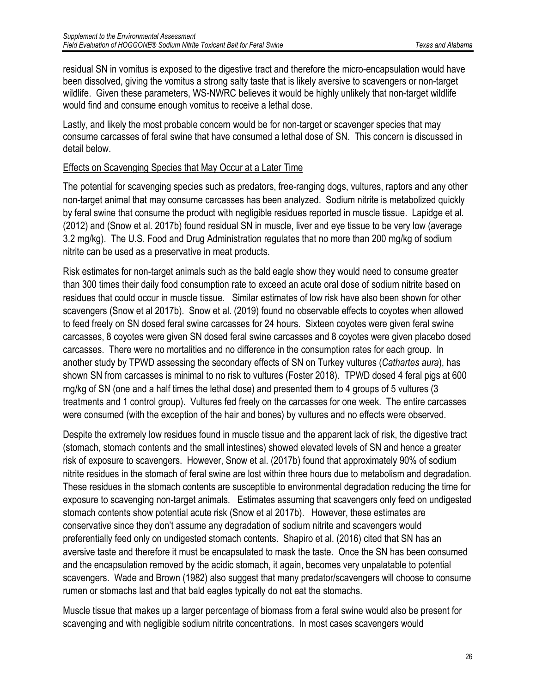residual SN in vomitus is exposed to the digestive tract and therefore the micro-encapsulation would have been dissolved, giving the vomitus a strong salty taste that is likely aversive to scavengers or non-target wildlife. Given these parameters, WS-NWRC believes it would be highly unlikely that non-target wildlife would find and consume enough vomitus to receive a lethal dose.

Lastly, and likely the most probable concern would be for non-target or scavenger species that may consume carcasses of feral swine that have consumed a lethal dose of SN. This concern is discussed in detail below.

#### Effects on Scavenging Species that May Occur at a Later Time

The potential for scavenging species such as predators, free-ranging dogs, vultures, raptors and any other non-target animal that may consume carcasses has been analyzed. Sodium nitrite is metabolized quickly by feral swine that consume the product with negligible residues reported in muscle tissue. Lapidge et al. (2012) and (Snow et al. 2017b) found residual SN in muscle, liver and eye tissue to be very low (average 3.2 mg/kg). The U.S. Food and Drug Administration regulates that no more than 200 mg/kg of sodium nitrite can be used as a preservative in meat products.

Risk estimates for non-target animals such as the bald eagle show they would need to consume greater than 300 times their daily food consumption rate to exceed an acute oral dose of sodium nitrite based on residues that could occur in muscle tissue. Similar estimates of low risk have also been shown for other scavengers (Snow et al 2017b). Snow et al. (2019) found no observable effects to coyotes when allowed to feed freely on SN dosed feral swine carcasses for 24 hours. Sixteen coyotes were given feral swine carcasses, 8 coyotes were given SN dosed feral swine carcasses and 8 coyotes were given placebo dosed carcasses. There were no mortalities and no difference in the consumption rates for each group. In another study by TPWD assessing the secondary effects of SN on Turkey vultures (*Cathartes aura*), has shown SN from carcasses is minimal to no risk to vultures (Foster 2018). TPWD dosed 4 feral pigs at 600 mg/kg of SN (one and a half times the lethal dose) and presented them to 4 groups of 5 vultures (3 treatments and 1 control group). Vultures fed freely on the carcasses for one week. The entire carcasses were consumed (with the exception of the hair and bones) by vultures and no effects were observed.

Despite the extremely low residues found in muscle tissue and the apparent lack of risk, the digestive tract (stomach, stomach contents and the small intestines) showed elevated levels of SN and hence a greater risk of exposure to scavengers. However, Snow et al. (2017b) found that approximately 90% of sodium nitrite residues in the stomach of feral swine are lost within three hours due to metabolism and degradation. These residues in the stomach contents are susceptible to environmental degradation reducing the time for exposure to scavenging non-target animals. Estimates assuming that scavengers only feed on undigested stomach contents show potential acute risk (Snow et al 2017b). However, these estimates are conservative since they don't assume any degradation of sodium nitrite and scavengers would preferentially feed only on undigested stomach contents. Shapiro et al. (2016) cited that SN has an aversive taste and therefore it must be encapsulated to mask the taste. Once the SN has been consumed and the encapsulation removed by the acidic stomach, it again, becomes very unpalatable to potential scavengers. Wade and Brown (1982) also suggest that many predator/scavengers will choose to consume rumen or stomachs last and that bald eagles typically do not eat the stomachs.

Muscle tissue that makes up a larger percentage of biomass from a feral swine would also be present for scavenging and with negligible sodium nitrite concentrations. In most cases scavengers would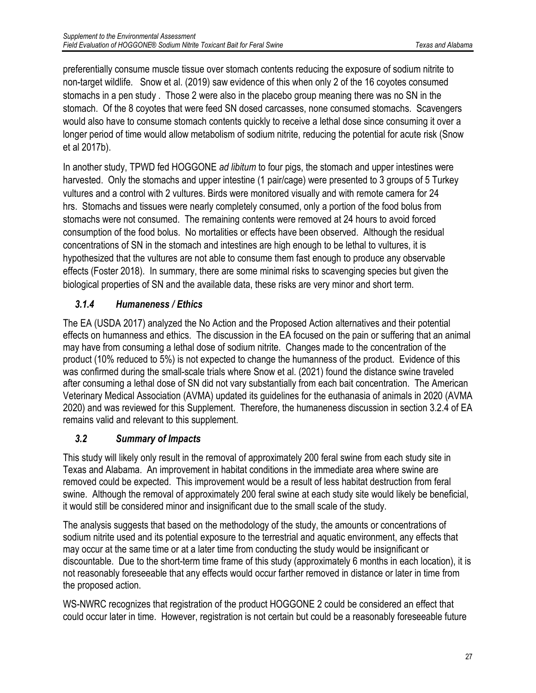preferentially consume muscle tissue over stomach contents reducing the exposure of sodium nitrite to non-target wildlife. Snow et al. (2019) saw evidence of this when only 2 of the 16 coyotes consumed stomachs in a pen study . Those 2 were also in the placebo group meaning there was no SN in the stomach. Of the 8 coyotes that were feed SN dosed carcasses, none consumed stomachs. Scavengers would also have to consume stomach contents quickly to receive a lethal dose since consuming it over a longer period of time would allow metabolism of sodium nitrite, reducing the potential for acute risk (Snow et al 2017b).

In another study, TPWD fed HOGGONE *ad libitum* to four pigs, the stomach and upper intestines were harvested. Only the stomachs and upper intestine (1 pair/cage) were presented to 3 groups of 5 Turkey vultures and a control with 2 vultures. Birds were monitored visually and with remote camera for 24 hrs. Stomachs and tissues were nearly completely consumed, only a portion of the food bolus from stomachs were not consumed. The remaining contents were removed at 24 hours to avoid forced consumption of the food bolus. No mortalities or effects have been observed. Although the residual concentrations of SN in the stomach and intestines are high enough to be lethal to vultures, it is hypothesized that the vultures are not able to consume them fast enough to produce any observable effects (Foster 2018). In summary, there are some minimal risks to scavenging species but given the biological properties of SN and the available data, these risks are very minor and short term.

# <span id="page-27-0"></span>*3.1.4 Humaneness / Ethics*

The EA (USDA 2017) analyzed the No Action and the Proposed Action alternatives and their potential effects on humanness and ethics. The discussion in the EA focused on the pain or suffering that an animal may have from consuming a lethal dose of sodium nitrite. Changes made to the concentration of the product (10% reduced to 5%) is not expected to change the humanness of the product. Evidence of this was confirmed during the small-scale trials where Snow et al. (2021) found the distance swine traveled after consuming a lethal dose of SN did not vary substantially from each bait concentration. The American Veterinary Medical Association (AVMA) updated its guidelines for the euthanasia of animals in 2020 (AVMA 2020) and was reviewed for this Supplement. Therefore, the humaneness discussion in section 3.2.4 of EA remains valid and relevant to this supplement.

# <span id="page-27-1"></span>*3.2 Summary of Impacts*

This study will likely only result in the removal of approximately 200 feral swine from each study site in Texas and Alabama. An improvement in habitat conditions in the immediate area where swine are removed could be expected. This improvement would be a result of less habitat destruction from feral swine. Although the removal of approximately 200 feral swine at each study site would likely be beneficial, it would still be considered minor and insignificant due to the small scale of the study.

The analysis suggests that based on the methodology of the study, the amounts or concentrations of sodium nitrite used and its potential exposure to the terrestrial and aquatic environment, any effects that may occur at the same time or at a later time from conducting the study would be insignificant or discountable. Due to the short-term time frame of this study (approximately 6 months in each location), it is not reasonably foreseeable that any effects would occur farther removed in distance or later in time from the proposed action.

WS-NWRC recognizes that registration of the product HOGGONE 2 could be considered an effect that could occur later in time. However, registration is not certain but could be a reasonably foreseeable future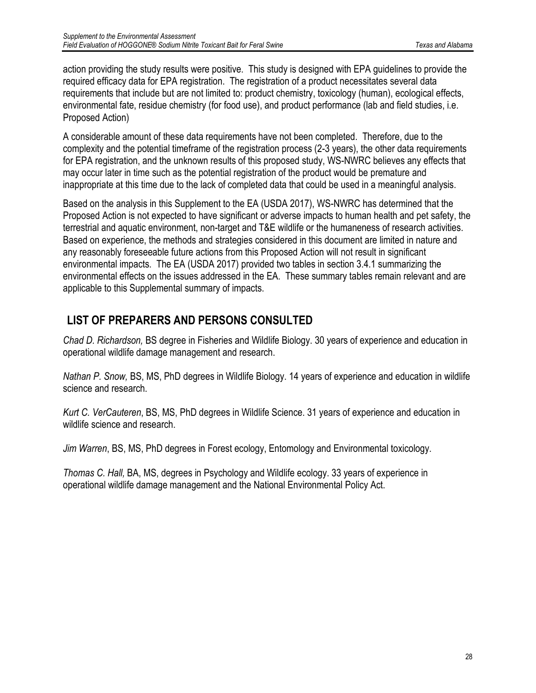action providing the study results were positive. This study is designed with EPA guidelines to provide the required efficacy data for EPA registration. The registration of a product necessitates several data requirements that include but are not limited to: product chemistry, toxicology (human), ecological effects, environmental fate, residue chemistry (for food use), and product performance (lab and field studies, i.e. Proposed Action)

A considerable amount of these data requirements have not been completed. Therefore, due to the complexity and the potential timeframe of the registration process (2-3 years), the other data requirements for EPA registration, and the unknown results of this proposed study, WS-NWRC believes any effects that may occur later in time such as the potential registration of the product would be premature and inappropriate at this time due to the lack of completed data that could be used in a meaningful analysis.

Based on the analysis in this Supplement to the EA (USDA 2017), WS-NWRC has determined that the Proposed Action is not expected to have significant or adverse impacts to human health and pet safety, the terrestrial and aquatic environment, non-target and T&E wildlife or the humaneness of research activities. Based on experience, the methods and strategies considered in this document are limited in nature and any reasonably foreseeable future actions from this Proposed Action will not result in significant environmental impacts. The EA (USDA 2017) provided two tables in section 3.4.1 summarizing the environmental effects on the issues addressed in the EA. These summary tables remain relevant and are applicable to this Supplemental summary of impacts.

# <span id="page-28-0"></span>**LIST OF PREPARERS AND PERSONS CONSULTED**

*Chad D. Richardson,* BS degree in Fisheries and Wildlife Biology. 30 years of experience and education in operational wildlife damage management and research.

*Nathan P. Snow,* BS, MS, PhD degrees in Wildlife Biology. 14 years of experience and education in wildlife science and research.

*Kurt C. VerCauteren*, BS, MS, PhD degrees in Wildlife Science. 31 years of experience and education in wildlife science and research.

*Jim Warren*, BS, MS, PhD degrees in Forest ecology, Entomology and Environmental toxicology.

*Thomas C. Hall,* BA, MS, degrees in Psychology and Wildlife ecology. 33 years of experience in operational wildlife damage management and the National Environmental Policy Act.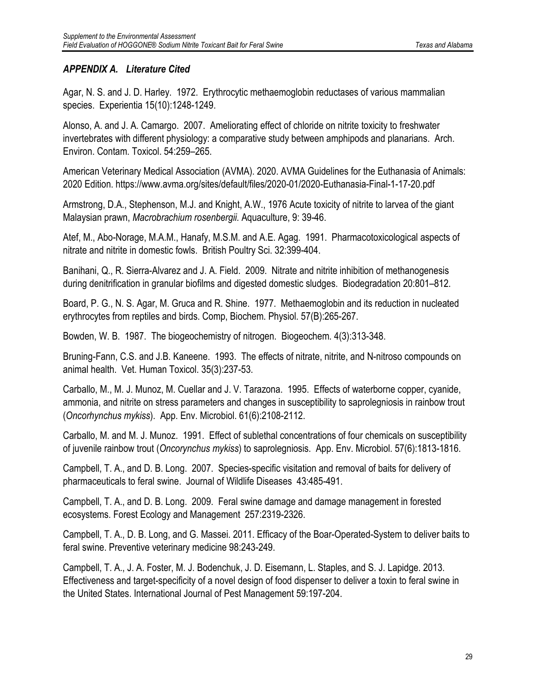#### *APPENDIX A. Literature Cited*

Agar, N. S. and J. D. Harley. 1972. Erythrocytic methaemoglobin reductases of various mammalian species. Experientia 15(10):1248-1249.

Alonso, A. and J. A. Camargo. 2007. Ameliorating effect of chloride on nitrite toxicity to freshwater invertebrates with different physiology: a comparative study between amphipods and planarians. Arch. Environ. Contam. Toxicol. 54:259–265.

American Veterinary Medical Association (AVMA). 2020. AVMA Guidelines for the Euthanasia of Animals: 2020 Edition. https://www.avma.org/sites/default/files/2020-01/2020-Euthanasia-Final-1-17-20.pdf

Armstrong, D.A., Stephenson, M.J. and Knight, A.W., 1976 Acute toxicity of nitrite to larvea of the giant Malaysian prawn, *Macrobrachium rosenbergii.* Aquaculture, 9: 39-46.

Atef, M., Abo-Norage, M.A.M., Hanafy, M.S.M. and A.E. Agag. 1991. Pharmacotoxicological aspects of nitrate and nitrite in domestic fowls. British Poultry Sci. 32:399-404.

Banihani, Q., R. Sierra-Alvarez and J. A. Field. 2009. Nitrate and nitrite inhibition of methanogenesis during denitrification in granular biofilms and digested domestic sludges. Biodegradation 20:801–812.

Board, P. G., N. S. Agar, M. Gruca and R. Shine. 1977. Methaemoglobin and its reduction in nucleated erythrocytes from reptiles and birds. Comp, Biochem. Physiol. 57(B):265-267.

Bowden, W. B. 1987. The biogeochemistry of nitrogen. Biogeochem. 4(3):313-348.

Bruning-Fann, C.S. and J.B. Kaneene. 1993. The effects of nitrate, nitrite, and N-nitroso compounds on animal health. Vet. Human Toxicol. 35(3):237-53.

Carballo, M., M. J. Munoz, M. Cuellar and J. V. Tarazona. 1995. Effects of waterborne copper, cyanide, ammonia, and nitrite on stress parameters and changes in susceptibility to saprolegniosis in rainbow trout (*Oncorhynchus mykiss*). App. Env. Microbiol. 61(6):2108-2112.

Carballo, M. and M. J. Munoz. 1991. Effect of sublethal concentrations of four chemicals on susceptibility of juvenile rainbow trout (*Oncorynchus mykiss*) to saprolegniosis. App. Env. Microbiol. 57(6):1813-1816.

Campbell, T. A., and D. B. Long. 2007. Species-specific visitation and removal of baits for delivery of pharmaceuticals to feral swine. Journal of Wildlife Diseases 43:485-491.

Campbell, T. A., and D. B. Long. 2009. Feral swine damage and damage management in forested ecosystems. Forest Ecology and Management 257:2319-2326.

Campbell, T. A., D. B. Long, and G. Massei. 2011. Efficacy of the Boar-Operated-System to deliver baits to feral swine. Preventive veterinary medicine 98:243-249.

Campbell, T. A., J. A. Foster, M. J. Bodenchuk, J. D. Eisemann, L. Staples, and S. J. Lapidge. 2013. Effectiveness and target-specificity of a novel design of food dispenser to deliver a toxin to feral swine in the United States. International Journal of Pest Management 59:197-204.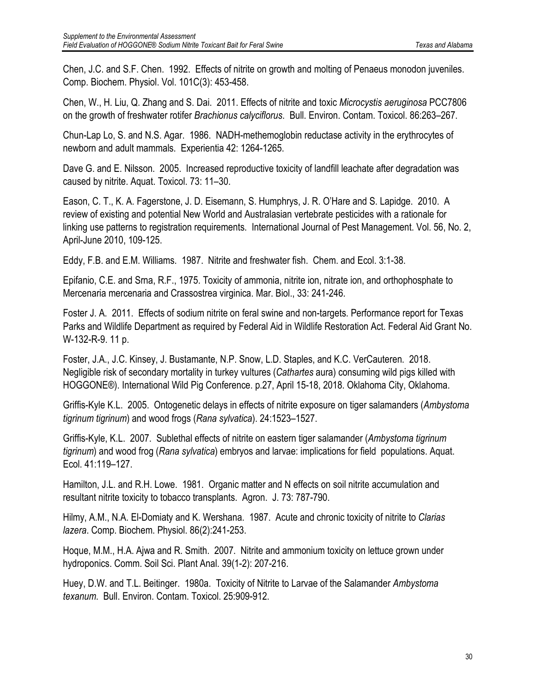Chen, J.C. and S.F. Chen. 1992. Effects of nitrite on growth and molting of Penaeus monodon juveniles. Comp. Biochem. Physiol. Vol. 101C(3): 453-458.

Chen, W., H. Liu, Q. Zhang and S. Dai. 2011. Effects of nitrite and toxic *Microcystis aeruginosa* PCC7806 on the growth of freshwater rotifer *Brachionus calyciflorus*. Bull. Environ. Contam. Toxicol. 86:263–267.

Chun-Lap Lo, S. and N.S. Agar. 1986. NADH-methemoglobin reductase activity in the erythrocytes of newborn and adult mammals. Experientia 42: 1264-1265.

Dave G. and E. Nilsson. 2005. Increased reproductive toxicity of landfill leachate after degradation was caused by nitrite. Aquat. Toxicol. 73: 11–30.

Eason, C. T., K. A. Fagerstone, J. D. Eisemann, S. Humphrys, J. R. O'Hare and S. Lapidge. 2010. A review of existing and potential New World and Australasian vertebrate pesticides with a rationale for linking use patterns to registration requirements. International Journal of Pest Management. Vol. 56, No. 2, April-June 2010, 109-125.

Eddy, F.B. and E.M. Williams. 1987. Nitrite and freshwater fish. Chem. and Ecol. 3:1-38.

Epifanio, C.E. and Srna, R.F., 1975. Toxicity of ammonia, nitrite ion, nitrate ion, and orthophosphate to Mercenaria mercenaria and Crassostrea virginica. Mar. Biol., 33: 241-246.

Foster J. A. 2011. Effects of sodium nitrite on feral swine and non-targets. Performance report for Texas Parks and Wildlife Department as required by Federal Aid in Wildlife Restoration Act. Federal Aid Grant No. W-132-R-9. 11 p.

Foster, J.A., J.C. Kinsey, J. Bustamante, N.P. Snow, L.D. Staples, and K.C. VerCauteren. 2018. Negligible risk of secondary mortality in turkey vultures (*Cathartes* aura) consuming wild pigs killed with HOGGONE®). International Wild Pig Conference. p.27, April 15-18, 2018. Oklahoma City, Oklahoma.

Griffis-Kyle K.L. 2005. Ontogenetic delays in effects of nitrite exposure on tiger salamanders (*Ambystoma tigrinum tigrinum*) and wood frogs (*Rana sylvatica*). 24:1523–1527.

Griffis-Kyle, K.L. 2007. Sublethal effects of nitrite on eastern tiger salamander (*Ambystoma tigrinum tigrinum*) and wood frog (*Rana sylvatica*) embryos and larvae: implications for field populations. Aquat. Ecol. 41:119–127.

Hamilton, J.L. and R.H. Lowe. 1981. Organic matter and N effects on soil nitrite accumulation and resultant nitrite toxicity to tobacco transplants. Agron. J. 73: 787-790.

Hilmy, A.M., N.A. El-Domiaty and K. Wershana. 1987. Acute and chronic toxicity of nitrite to *Clarias lazera*. Comp. Biochem. Physiol. 86(2):241-253.

Hoque, M.M., H.A. Ajwa and R. Smith. 2007. Nitrite and ammonium toxicity on lettuce grown under hydroponics. Comm. Soil Sci. Plant Anal. 39(1-2): 207-216.

Huey, D.W. and T.L. Beitinger. 1980a. Toxicity of Nitrite to Larvae of the Salamander *Ambystoma texanum*. Bull. Environ. Contam. Toxicol. 25:909-912.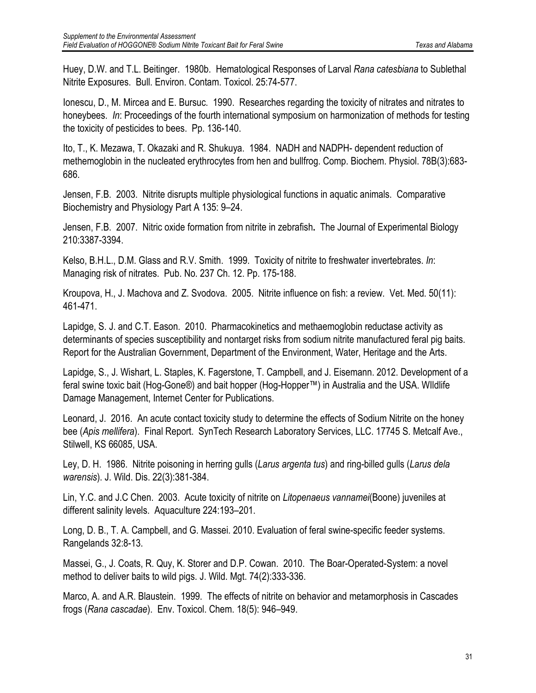Huey, D.W. and T.L. Beitinger. 1980b. Hematological Responses of Larval *Rana catesbiana* to Sublethal Nitrite Exposures. Bull. Environ. Contam. Toxicol. 25:74-577.

Ionescu, D., M. Mircea and E. Bursuc. 1990. Researches regarding the toxicity of nitrates and nitrates to honeybees. *In*: Proceedings of the fourth international symposium on harmonization of methods for testing the toxicity of pesticides to bees. Pp. 136-140.

Ito, T., K. Mezawa, T. Okazaki and R. Shukuya. 1984. NADH and NADPH- dependent reduction of methemoglobin in the nucleated erythrocytes from hen and bullfrog. Comp. Biochem. Physiol. 78B(3):683- 686.

Jensen, F.B. 2003. Nitrite disrupts multiple physiological functions in aquatic animals. Comparative Biochemistry and Physiology Part A 135: 9–24.

Jensen, F.B. 2007. Nitric oxide formation from nitrite in zebrafish**.** The Journal of Experimental Biology 210:3387-3394.

Kelso, B.H.L., D.M. Glass and R.V. Smith. 1999. Toxicity of nitrite to freshwater invertebrates. *In*: Managing risk of nitrates. Pub. No. 237 Ch. 12. Pp. 175-188.

Kroupova, H., J. Machova and Z. Svodova. 2005. Nitrite influence on fish: a review. Vet. Med. 50(11): 461-471.

Lapidge, S. J. and C.T. Eason. 2010. Pharmacokinetics and methaemoglobin reductase activity as determinants of species susceptibility and nontarget risks from sodium nitrite manufactured feral pig baits. Report for the Australian Government, Department of the Environment, Water, Heritage and the Arts.

Lapidge, S., J. Wishart, L. Staples, K. Fagerstone, T. Campbell, and J. Eisemann. 2012. Development of a feral swine toxic bait (Hog-Gone®) and bait hopper (Hog-Hopper™) in Australia and the USA. WIldlife Damage Management, Internet Center for Publications.

Leonard, J. 2016. An acute contact toxicity study to determine the effects of Sodium Nitrite on the honey bee (*Apis mellifera*). Final Report. SynTech Research Laboratory Services, LLC. 17745 S. Metcalf Ave., Stilwell, KS 66085, USA.

Ley, D. H. 1986. Nitrite poisoning in herring gulls (*Larus argenta tus*) and ring-billed gulls (*Larus dela warensis*). J. Wild. Dis. 22(3):381-384.

Lin, Y.C. and J.C Chen. 2003. Acute toxicity of nitrite on *Litopenaeus vannamei*(Boone) juveniles at different salinity levels. Aquaculture 224:193–201.

Long, D. B., T. A. Campbell, and G. Massei. 2010. Evaluation of feral swine-specific feeder systems. Rangelands 32:8-13.

Massei, G., J. Coats, R. Quy, K. Storer and D.P. Cowan. 2010. The Boar-Operated-System: a novel method to deliver baits to wild pigs. J. Wild. Mgt. 74(2):333-336.

Marco, A. and A.R. Blaustein. 1999. The effects of nitrite on behavior and metamorphosis in Cascades frogs (*Rana cascadae*). Env. Toxicol. Chem. 18(5): 946–949.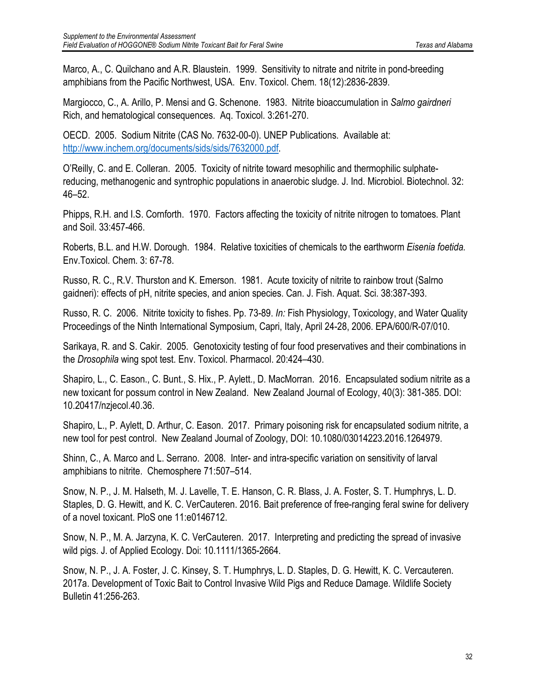Marco, A., C. Quilchano and A.R. Blaustein. 1999. Sensitivity to nitrate and nitrite in pond-breeding amphibians from the Pacific Northwest, USA. Env. Toxicol. Chem. 18(12):2836-2839.

Margiocco, C., A. Arillo, P. Mensi and G. Schenone. 1983. Nitrite bioaccumulation in *Salmo gairdneri*  Rich, and hematological consequences. Aq. Toxicol. 3:261-270.

OECD. 2005. Sodium Nitrite (CAS No. 7632-00-0). UNEP Publications. Available at: [http://www.inchem.org/documents/sids/sids/7632000.pdf.](http://www.inchem.org/documents/sids/sids/7632000.pdf)

O'Reilly, C. and E. Colleran. 2005. Toxicity of nitrite toward mesophilic and thermophilic sulphatereducing, methanogenic and syntrophic populations in anaerobic sludge. J. Ind. Microbiol. Biotechnol. 32: 46–52.

Phipps, R.H. and I.S. Cornforth. 1970. Factors affecting the toxicity of nitrite nitrogen to tomatoes. Plant and Soil. 33:457-466.

Roberts, B.L. and H.W. Dorough. 1984. Relative toxicities of chemicals to the earthworm *Eisenia foetida.* Env.Toxicol. Chem. 3: 67-78.

Russo, R. C., R.V. Thurston and K. Emerson. 1981. Acute toxicity of nitrite to rainbow trout (Salrno gaidneri): effects of pH, nitrite species, and anion species. Can. J. Fish. Aquat. Sci. 38:387-393.

Russo, R. C. 2006. Nitrite toxicity to fishes. Pp. 73-89. *In:* Fish Physiology, Toxicology, and Water Quality Proceedings of the Ninth International Symposium, Capri, Italy, April 24-28, 2006. EPA/600/R-07/010.

Sarikaya, R. and S. Cakir. 2005. Genotoxicity testing of four food preservatives and their combinations in the *Drosophila* wing spot test. Env. Toxicol. Pharmacol. 20:424–430.

Shapiro, L., C. Eason., C. Bunt., S. Hix., P. Aylett., D. MacMorran. 2016. Encapsulated sodium nitrite as a new toxicant for possum control in New Zealand. New Zealand Journal of Ecology, 40(3): 381-385. DOI: 10.20417/nzjecol.40.36.

Shapiro, L., P. Aylett, D. Arthur, C. Eason. 2017. Primary poisoning risk for encapsulated sodium nitrite, a new tool for pest control. New Zealand Journal of Zoology, DOI: 10.1080/03014223.2016.1264979.

Shinn, C., A. Marco and L. Serrano. 2008. Inter- and intra-specific variation on sensitivity of larval amphibians to nitrite. Chemosphere 71:507–514.

Snow, N. P., J. M. Halseth, M. J. Lavelle, T. E. Hanson, C. R. Blass, J. A. Foster, S. T. Humphrys, L. D. Staples, D. G. Hewitt, and K. C. VerCauteren. 2016. Bait preference of free-ranging feral swine for delivery of a novel toxicant. PloS one 11:e0146712.

Snow, N. P., M. A. Jarzyna, K. C. VerCauteren. 2017. Interpreting and predicting the spread of invasive wild pigs. J. of Applied Ecology. Doi: 10.1111/1365-2664.

Snow, N. P., J. A. Foster, J. C. Kinsey, S. T. Humphrys, L. D. Staples, D. G. Hewitt, K. C. Vercauteren. 2017a. Development of Toxic Bait to Control Invasive Wild Pigs and Reduce Damage. Wildlife Society Bulletin 41:256-263.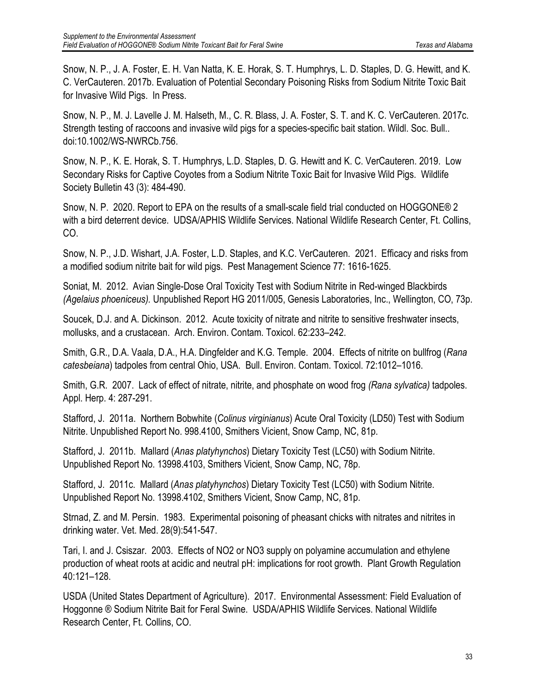Snow, N. P., J. A. Foster, E. H. Van Natta, K. E. Horak, S. T. Humphrys, L. D. Staples, D. G. Hewitt, and K. C. VerCauteren. 2017b. Evaluation of Potential Secondary Poisoning Risks from Sodium Nitrite Toxic Bait for Invasive Wild Pigs. In Press.

Snow, N. P., M. J. Lavelle J. M. Halseth, M., C. R. Blass, J. A. Foster, S. T. and K. C. VerCauteren. 2017c. Strength testing of raccoons and invasive wild pigs for a species-specific bait station. Wildl. Soc. Bull.. doi:10.1002/WS-NWRCb.756.

Snow, N. P., K. E. Horak, S. T. Humphrys, L.D. Staples, D. G. Hewitt and K. C. VerCauteren. 2019. Low Secondary Risks for Captive Coyotes from a Sodium Nitrite Toxic Bait for Invasive Wild Pigs. Wildlife Society Bulletin 43 (3): 484-490.

Snow, N. P. 2020. Report to EPA on the results of a small-scale field trial conducted on HOGGONE® 2 with a bird deterrent device. UDSA/APHIS Wildlife Services. National Wildlife Research Center, Ft. Collins, CO.

Snow, N. P., J.D. Wishart, J.A. Foster, L.D. Staples, and K.C. VerCauteren. 2021. Efficacy and risks from a modified sodium nitrite bait for wild pigs. Pest Management Science 77: 1616-1625.

Soniat, M. 2012. Avian Single-Dose Oral Toxicity Test with Sodium Nitrite in Red-winged Blackbirds *(Agelaius phoeniceus).* Unpublished Report HG 2011/005, Genesis Laboratories, Inc., Wellington, CO, 73p.

Soucek, D.J. and A. Dickinson. 2012. Acute toxicity of nitrate and nitrite to sensitive freshwater insects, mollusks, and a crustacean. Arch. Environ. Contam. Toxicol. 62:233–242.

Smith, G.R., D.A. Vaala, D.A., H.A. Dingfelder and K.G. Temple. 2004. Effects of nitrite on bullfrog (*Rana catesbeiana*) tadpoles from central Ohio, USA. Bull. Environ. Contam. Toxicol. 72:1012–1016.

Smith, G.R. 2007. Lack of effect of nitrate, nitrite, and phosphate on wood frog *(Rana sylvatica)* tadpoles. Appl. Herp. 4: 287-291.

Stafford, J. 2011a. Northern Bobwhite (*Colinus virginianus*) Acute Oral Toxicity (LD50) Test with Sodium Nitrite. Unpublished Report No. 998.4100, Smithers Vicient, Snow Camp, NC, 81p.

Stafford, J. 2011b. Mallard (*Anas platyhynchos*) Dietary Toxicity Test (LC50) with Sodium Nitrite. Unpublished Report No. 13998.4103, Smithers Vicient, Snow Camp, NC, 78p.

Stafford, J. 2011c. Mallard (*Anas platyhynchos*) Dietary Toxicity Test (LC50) with Sodium Nitrite. Unpublished Report No. 13998.4102, Smithers Vicient, Snow Camp, NC, 81p.

Strnad, Z. and M. Persin. 1983. Experimental poisoning of pheasant chicks with nitrates and nitrites in drinking water. Vet. Med. 28(9):541-547.

Tari, I. and J. Csiszar. 2003. Effects of NO2 or NO3 supply on polyamine accumulation and ethylene production of wheat roots at acidic and neutral pH: implications for root growth. Plant Growth Regulation 40:121–128.

USDA (United States Department of Agriculture). 2017. Environmental Assessment: Field Evaluation of Hoggonne ® Sodium Nitrite Bait for Feral Swine. USDA/APHIS Wildlife Services. National Wildlife Research Center, Ft. Collins, CO.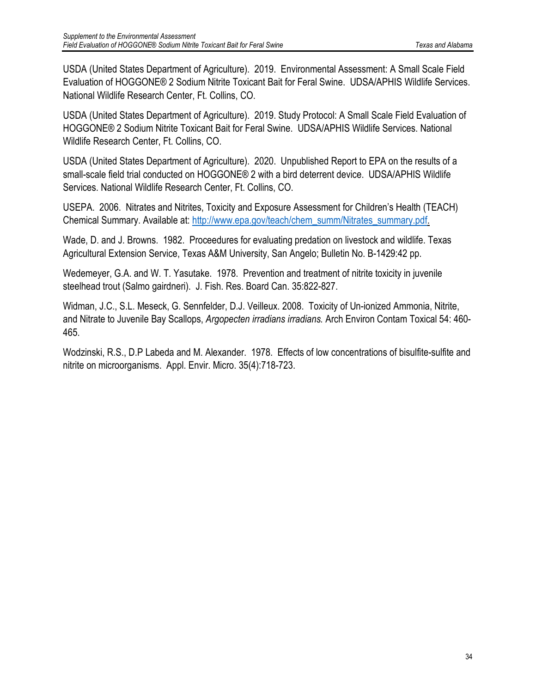USDA (United States Department of Agriculture). 2019. Environmental Assessment: A Small Scale Field Evaluation of HOGGONE® 2 Sodium Nitrite Toxicant Bait for Feral Swine. UDSA/APHIS Wildlife Services. National Wildlife Research Center, Ft. Collins, CO.

USDA (United States Department of Agriculture). 2019. Study Protocol: A Small Scale Field Evaluation of HOGGONE® 2 Sodium Nitrite Toxicant Bait for Feral Swine. UDSA/APHIS Wildlife Services. National Wildlife Research Center, Ft. Collins, CO.

USDA (United States Department of Agriculture). 2020. Unpublished Report to EPA on the results of a small-scale field trial conducted on HOGGONE® 2 with a bird deterrent device. UDSA/APHIS Wildlife Services. National Wildlife Research Center, Ft. Collins, CO.

USEPA. 2006. Nitrates and Nitrites, Toxicity and Exposure Assessment for Children's Health (TEACH) Chemical Summary. Available at: [http://www.epa.gov/teach/chem\\_summ/Nitrates\\_summary.pdf.](http://www.epa.gov/teach/chem_summ/Nitrates_summary.pdf)

Wade, D. and J. Browns. 1982. Proceedures for evaluating predation on livestock and wildlife. Texas Agricultural Extension Service, Texas A&M University, San Angelo; Bulletin No. B-1429:42 pp.

Wedemeyer, G.A. and W. T. Yasutake. 1978. Prevention and treatment of nitrite toxicity in juvenile steelhead trout (Salmo gairdneri). J. Fish. Res. Board Can. 35:822-827.

Widman, J.C., S.L. Meseck, G. Sennfelder, D.J. Veilleux. 2008. Toxicity of Un-ionized Ammonia, Nitrite, and Nitrate to Juvenile Bay Scallops, *Argopecten irradians irradians.* Arch Environ Contam Toxical 54: 460- 465.

Wodzinski, R.S., D.P Labeda and M. Alexander. 1978. Effects of low concentrations of bisulfite-sulfite and nitrite on microorganisms. Appl. Envir. Micro. 35(4):718-723.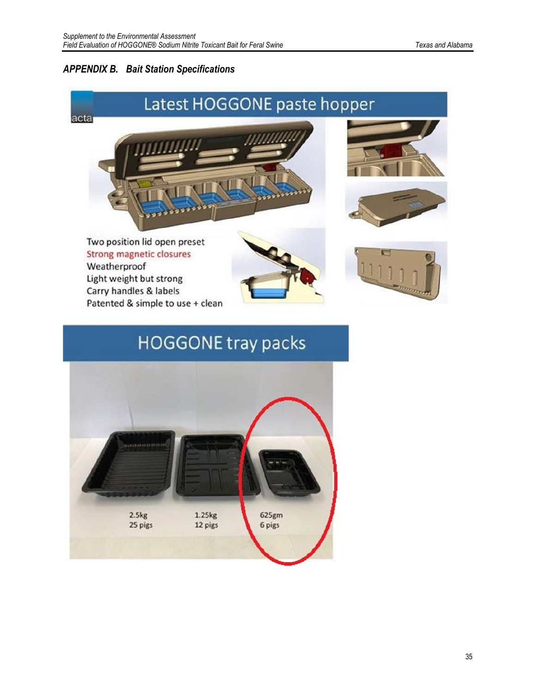### *APPENDIX B. Bait Station Specifications*



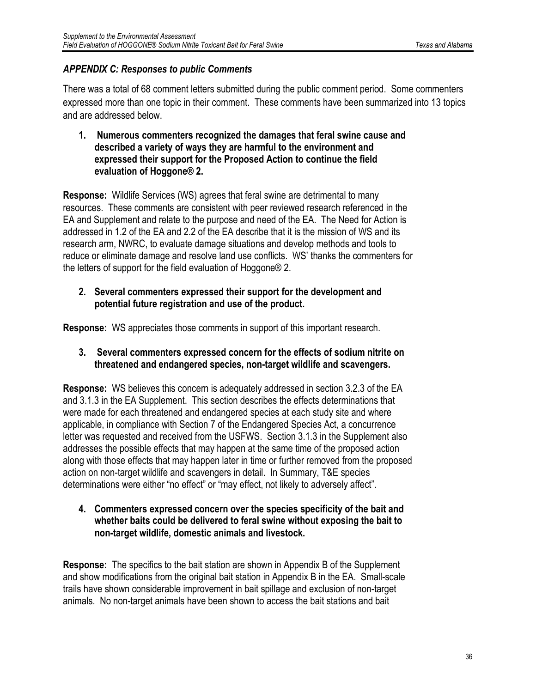#### *APPENDIX C: Responses to public Comments*

There was a total of 68 comment letters submitted during the public comment period. Some commenters expressed more than one topic in their comment. These comments have been summarized into 13 topics and are addressed below.

**1. Numerous commenters recognized the damages that feral swine cause and described a variety of ways they are harmful to the environment and expressed their support for the Proposed Action to continue the field evaluation of Hoggone® 2.**

**Response:** Wildlife Services (WS) agrees that feral swine are detrimental to many resources. These comments are consistent with peer reviewed research referenced in the EA and Supplement and relate to the purpose and need of the EA. The Need for Action is addressed in 1.2 of the EA and 2.2 of the EA describe that it is the mission of WS and its research arm, NWRC, to evaluate damage situations and develop methods and tools to reduce or eliminate damage and resolve land use conflicts. WS' thanks the commenters for the letters of support for the field evaluation of Hoggone® 2.

#### **2. Several commenters expressed their support for the development and potential future registration and use of the product.**

**Response:** WS appreciates those comments in support of this important research.

#### **3. Several commenters expressed concern for the effects of sodium nitrite on threatened and endangered species, non-target wildlife and scavengers.**

**Response:** WS believes this concern is adequately addressed in section 3.2.3 of the EA and 3.1.3 in the EA Supplement. This section describes the effects determinations that were made for each threatened and endangered species at each study site and where applicable, in compliance with Section 7 of the Endangered Species Act, a concurrence letter was requested and received from the USFWS. Section 3.1.3 in the Supplement also addresses the possible effects that may happen at the same time of the proposed action along with those effects that may happen later in time or further removed from the proposed action on non-target wildlife and scavengers in detail. In Summary, T&E species determinations were either "no effect" or "may effect, not likely to adversely affect".

#### **4. Commenters expressed concern over the species specificity of the bait and whether baits could be delivered to feral swine without exposing the bait to non-target wildlife, domestic animals and livestock.**

**Response:** The specifics to the bait station are shown in Appendix B of the Supplement and show modifications from the original bait station in Appendix B in the EA. Small-scale trails have shown considerable improvement in bait spillage and exclusion of non-target animals. No non-target animals have been shown to access the bait stations and bait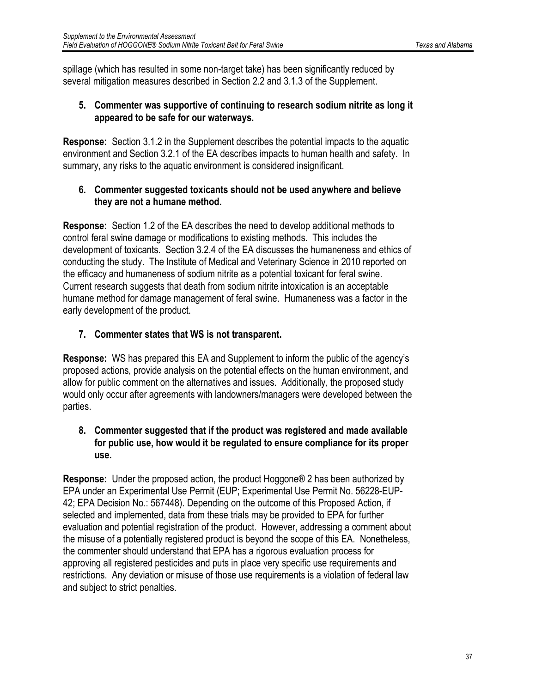spillage (which has resulted in some non-target take) has been significantly reduced by several mitigation measures described in Section 2.2 and 3.1.3 of the Supplement.

#### **5. Commenter was supportive of continuing to research sodium nitrite as long it appeared to be safe for our waterways.**

**Response:** Section 3.1.2 in the Supplement describes the potential impacts to the aquatic environment and Section 3.2.1 of the EA describes impacts to human health and safety. In summary, any risks to the aquatic environment is considered insignificant.

#### **6. Commenter suggested toxicants should not be used anywhere and believe they are not a humane method.**

**Response:** Section 1.2 of the EA describes the need to develop additional methods to control feral swine damage or modifications to existing methods. This includes the development of toxicants. Section 3.2.4 of the EA discusses the humaneness and ethics of conducting the study. The Institute of Medical and Veterinary Science in 2010 reported on the efficacy and humaneness of sodium nitrite as a potential toxicant for feral swine. Current research suggests that death from sodium nitrite intoxication is an acceptable humane method for damage management of feral swine. Humaneness was a factor in the early development of the product.

#### **7. Commenter states that WS is not transparent.**

**Response:** WS has prepared this EA and Supplement to inform the public of the agency's proposed actions, provide analysis on the potential effects on the human environment, and allow for public comment on the alternatives and issues. Additionally, the proposed study would only occur after agreements with landowners/managers were developed between the parties.

#### **8. Commenter suggested that if the product was registered and made available for public use, how would it be regulated to ensure compliance for its proper use.**

**Response:** Under the proposed action, the product Hoggone® 2 has been authorized by EPA under an Experimental Use Permit (EUP; Experimental Use Permit No. 56228-EUP-42; EPA Decision No.: 567448). Depending on the outcome of this Proposed Action, if selected and implemented, data from these trials may be provided to EPA for further evaluation and potential registration of the product. However, addressing a comment about the misuse of a potentially registered product is beyond the scope of this EA. Nonetheless, the commenter should understand that EPA has a rigorous evaluation process for approving all registered pesticides and puts in place very specific use requirements and restrictions. Any deviation or misuse of those use requirements is a violation of federal law and subject to strict penalties.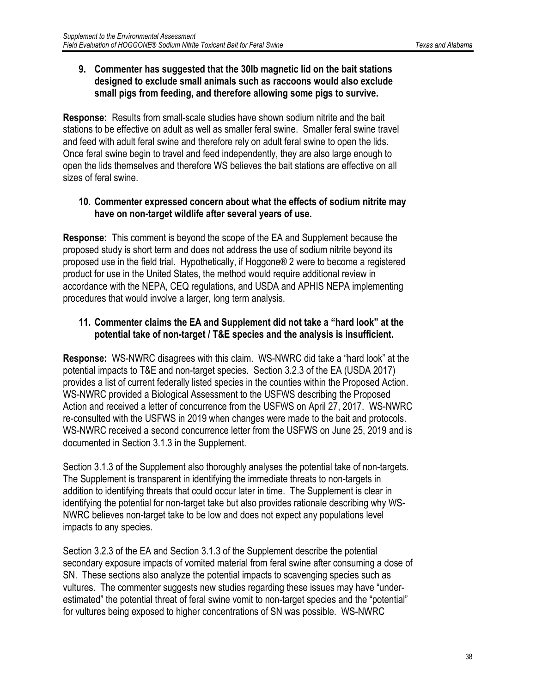#### **9. Commenter has suggested that the 30lb magnetic lid on the bait stations designed to exclude small animals such as raccoons would also exclude small pigs from feeding, and therefore allowing some pigs to survive.**

**Response:** Results from small-scale studies have shown sodium nitrite and the bait stations to be effective on adult as well as smaller feral swine. Smaller feral swine travel and feed with adult feral swine and therefore rely on adult feral swine to open the lids. Once feral swine begin to travel and feed independently, they are also large enough to open the lids themselves and therefore WS believes the bait stations are effective on all sizes of feral swine.

#### **10. Commenter expressed concern about what the effects of sodium nitrite may have on non-target wildlife after several years of use.**

**Response:** This comment is beyond the scope of the EA and Supplement because the proposed study is short term and does not address the use of sodium nitrite beyond its proposed use in the field trial. Hypothetically, if Hoggone® 2 were to become a registered product for use in the United States, the method would require additional review in accordance with the NEPA, CEQ regulations, and USDA and APHIS NEPA implementing procedures that would involve a larger, long term analysis.

#### **11. Commenter claims the EA and Supplement did not take a "hard look" at the potential take of non-target / T&E species and the analysis is insufficient.**

**Response:** WS-NWRC disagrees with this claim. WS-NWRC did take a "hard look" at the potential impacts to T&E and non-target species. Section 3.2.3 of the EA (USDA 2017) provides a list of current federally listed species in the counties within the Proposed Action. WS-NWRC provided a Biological Assessment to the USFWS describing the Proposed Action and received a letter of concurrence from the USFWS on April 27, 2017. WS-NWRC re-consulted with the USFWS in 2019 when changes were made to the bait and protocols. WS-NWRC received a second concurrence letter from the USFWS on June 25, 2019 and is documented in Section 3.1.3 in the Supplement.

Section 3.1.3 of the Supplement also thoroughly analyses the potential take of non-targets. The Supplement is transparent in identifying the immediate threats to non-targets in addition to identifying threats that could occur later in time. The Supplement is clear in identifying the potential for non-target take but also provides rationale describing why WS-NWRC believes non-target take to be low and does not expect any populations level impacts to any species.

Section 3.2.3 of the EA and Section 3.1.3 of the Supplement describe the potential secondary exposure impacts of vomited material from feral swine after consuming a dose of SN. These sections also analyze the potential impacts to scavenging species such as vultures.The commenter suggests new studies regarding these issues may have "underestimated" the potential threat of feral swine vomit to non-target species and the "potential" for vultures being exposed to higher concentrations of SN was possible. WS-NWRC